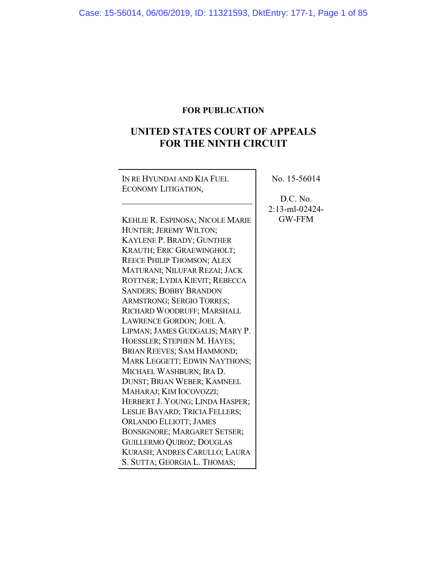## **FOR PUBLICATION**

# **UNITED STATES COURT OF APPEALS FOR THE NINTH CIRCUIT**

٦

| IN RE HYUNDAI AND KIA FUEL        | No. 15-56014      |
|-----------------------------------|-------------------|
| ECONOMY LITIGATION,               |                   |
|                                   | D.C. No.          |
|                                   | $2:13$ -ml-02424- |
| KEHLIE R. ESPINOSA; NICOLE MARIE  | <b>GW-FFM</b>     |
| HUNTER; JEREMY WILTON;            |                   |
| KAYLENE P. BRADY; GUNTHER         |                   |
| KRAUTH; ERIC GRAEWINGHOLT;        |                   |
| <b>REECE PHILIP THOMSON; ALEX</b> |                   |
| MATURANI; NILUFAR REZAI; JACK     |                   |
| ROTTNER; LYDIA KIEVIT; REBECCA    |                   |
| <b>SANDERS; BOBBY BRANDON</b>     |                   |
| ARMSTRONG; SERGIO TORRES;         |                   |
| RICHARD WOODRUFF; MARSHALL        |                   |
| LAWRENCE GORDON; JOEL A.          |                   |
| LIPMAN; JAMES GUDGALIS; MARY P.   |                   |
| HOESSLER; STEPHEN M. HAYES;       |                   |
| BRIAN REEVES; SAM HAMMOND;        |                   |
| MARK LEGGETT; EDWIN NAYTHONS;     |                   |
| MICHAEL WASHBURN; IRA D.          |                   |
| DUNST; BRIAN WEBER; KAMNEEL       |                   |
| MAHARAJ; KIM IOCOVOZZI;           |                   |
| HERBERT J. YOUNG; LINDA HASPER;   |                   |
| LESLIE BAYARD; TRICIA FELLERS;    |                   |
| <b>ORLANDO ELLIOTT; JAMES</b>     |                   |
| BONSIGNORE; MARGARET SETSER;      |                   |
| <b>GUILLERMO QUIROZ; DOUGLAS</b>  |                   |
| KURASH; ANDRES CARULLO; LAURA     |                   |
| S. SUTTA; GEORGIA L. THOMAS;      |                   |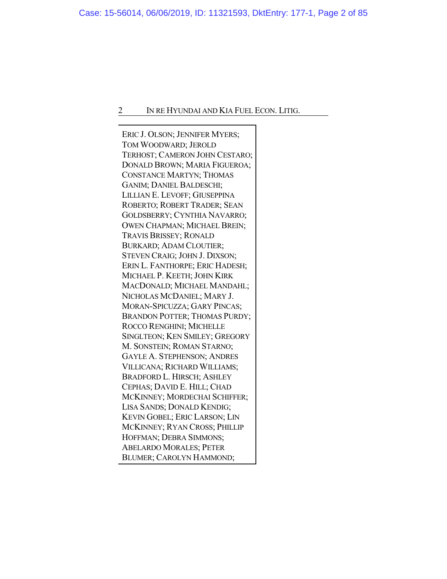ERIC J. OLSON; JENNIFER MYERS; TOM WOODWARD; JEROLD TERHOST; CAMERON JOHN CESTARO; DONALD BROWN; MARIA FIGUEROA; CONSTANCE MARTYN; THOMAS GANIM; DANIEL BALDESCHI; LILLIAN E. LEVOFF; GIUSEPPINA ROBERTO; ROBERT TRADER; SEAN GOLDSBERRY; CYNTHIA NAVARRO; OWEN CHAPMAN; MICHAEL BREIN; TRAVIS BRISSEY; RONALD BURKARD; ADAM CLOUTIER; STEVEN CRAIG; JOHN J. DIXSON; ERIN L. FANTHORPE; ERIC HADESH; MICHAEL P. KEETH; JOHN KIRK MACDONALD; MICHAEL MANDAHL; NICHOLAS MCDANIEL; MARY J. MORAN-SPICUZZA; GARY PINCAS; BRANDON POTTER; THOMAS PURDY; ROCCO RENGHINI; MICHELLE SINGLTEON; KEN SMILEY; GREGORY M. SONSTEIN; ROMAN STARNO; GAYLE A. STEPHENSON; ANDRES VILLICANA; RICHARD WILLIAMS; BRADFORD L. HIRSCH; ASHLEY CEPHAS; DAVID E. HILL; CHAD MCKINNEY; MORDECHAI SCHIFFER; LISA SANDS; DONALD KENDIG; KEVIN GOBEL; ERIC LARSON; LIN MCKINNEY; RYAN CROSS; PHILLIP HOFFMAN; DEBRA SIMMONS; ABELARDO MORALES; PETER BLUMER; CAROLYN HAMMOND;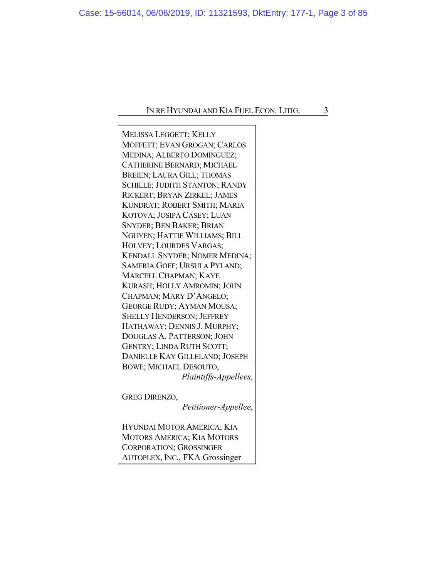MELISSA LEGGETT; KELLY MOFFETT; EVAN GROGAN; CARLOS MEDINA; ALBERTO DOMINGUEZ; CATHERINE BERNARD; MICHAEL BREIEN; LAURA GILL; THOMAS SCHILLE; JUDITH STANTON; RANDY RICKERT; BRYAN ZIRKEL; JAMES KUNDRAT; ROBERT SMITH; MARIA KOTOVA; JOSIPA CASEY; LUAN SNYDER; BEN BAKER; BRIAN NGUYEN; HATTIE WILLIAMS; BILL HOLVEY; LOURDES VARGAS; KENDALL SNYDER; NOMER MEDINA; SAMERIA GOFF; URSULA PYLAND; MARCELL CHAPMAN; KAYE KURASH; HOLLY AMROMIN; JOHN CHAPMAN; MARY D'ANGELO; GEORGE RUDY; AYMAN MOUSA; SHELLY HENDERSON; JEFFREY HATHAWAY; DENNIS J. MURPHY; DOUGLAS A. PATTERSON; JOHN GENTRY; LINDA RUTH SCOTT; DANIELLE KAY GILLELAND; JOSEPH BOWE; MICHAEL DESOUTO, *Plaintiffs-Appellees*,

GREG DIRENZO,

*Petitioner-Appellee*,

HYUNDAI MOTOR AMERICA; KIA MOTORS AMERICA; KIA MOTORS CORPORATION; GROSSINGER AUTOPLEX, INC., FKA Grossinger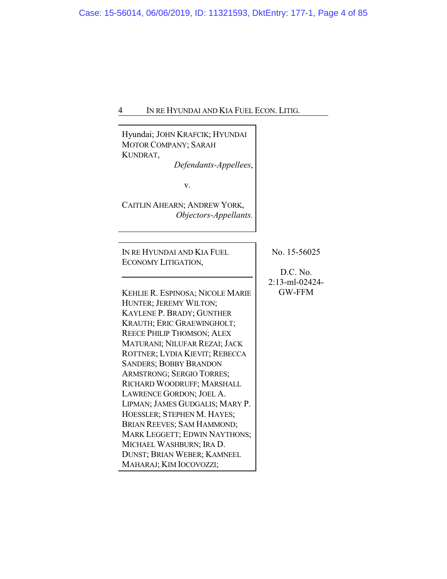$\overline{\phantom{a}}$ 

| Hyundai; JOHN KRAFCIK; HYUNDAI<br>MOTOR COMPANY; SARAH<br>KUNDRAT,<br>Defendants-Appellees,<br>v.<br>CAITLIN AHEARN; ANDREW YORK,<br>Objectors-Appellants. |                |
|------------------------------------------------------------------------------------------------------------------------------------------------------------|----------------|
|                                                                                                                                                            |                |
| IN RE HYUNDAI AND KIA FUEL                                                                                                                                 | No. 15-56025   |
| ECONOMY LITIGATION,                                                                                                                                        | D.C. No.       |
|                                                                                                                                                            | 2:13-ml-02424- |
| KEHLIE R. ESPINOSA; NICOLE MARIE                                                                                                                           | <b>GW-FFM</b>  |
| HUNTER; JEREMY WILTON;                                                                                                                                     |                |
| KAYLENE P. BRADY; GUNTHER                                                                                                                                  |                |
| KRAUTH; ERIC GRAEWINGHOLT;                                                                                                                                 |                |
| <b>REECE PHILIP THOMSON; ALEX</b>                                                                                                                          |                |
| MATURANI; NILUFAR REZAI; JACK                                                                                                                              |                |
| ROTTNER; LYDIA KIEVIT; REBECCA                                                                                                                             |                |
| <b>SANDERS; BOBBY BRANDON</b>                                                                                                                              |                |
| <b>ARMSTRONG; SERGIO TORRES;</b>                                                                                                                           |                |
| RICHARD WOODRUFF; MARSHALL                                                                                                                                 |                |
| LAWRENCE GORDON; JOEL A.                                                                                                                                   |                |
| LIPMAN; JAMES GUDGALIS; MARY P.                                                                                                                            |                |
| HOESSLER; STEPHEN M. HAYES;                                                                                                                                |                |
| BRIAN REEVES; SAM HAMMOND;                                                                                                                                 |                |
| MARK LEGGETT; EDWIN NAYTHONS;                                                                                                                              |                |
| MICHAEL WASHBURN; IRA D.                                                                                                                                   |                |
| DUNST; BRIAN WEBER; KAMNEEL                                                                                                                                |                |
| MAHARAJ; KIM IOCOVOZZI;                                                                                                                                    |                |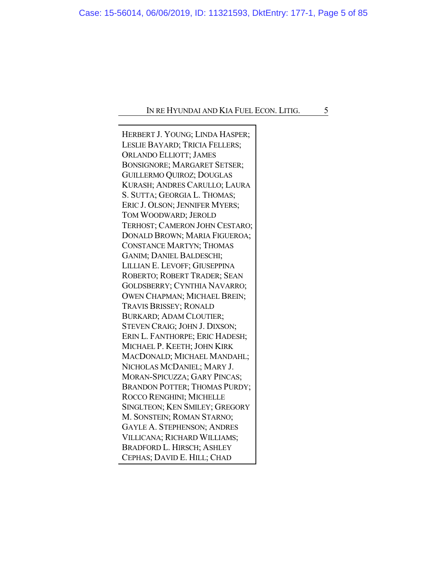HERBERT J. YOUNG; LINDA HASPER; LESLIE BAYARD; TRICIA FELLERS; ORLANDO ELLIOTT; JAMES BONSIGNORE; MARGARET SETSER; GUILLERMO QUIROZ; DOUGLAS KURASH; ANDRES CARULLO; LAURA S. SUTTA; GEORGIA L. THOMAS; ERIC J. OLSON; JENNIFER MYERS; TOM WOODWARD; JEROLD TERHOST; CAMERON JOHN CESTARO; DONALD BROWN; MARIA FIGUEROA; CONSTANCE MARTYN; THOMAS GANIM; DANIEL BALDESCHI; LILLIAN E. LEVOFF; GIUSEPPINA ROBERTO; ROBERT TRADER; SEAN GOLDSBERRY; CYNTHIA NAVARRO; OWEN CHAPMAN; MICHAEL BREIN; TRAVIS BRISSEY; RONALD BURKARD; ADAM CLOUTIER; STEVEN CRAIG; JOHN J. DIXSON; ERIN L. FANTHORPE; ERIC HADESH; MICHAEL P. KEETH; JOHN KIRK MACDONALD; MICHAEL MANDAHL; NICHOLAS MCDANIEL; MARY J. MORAN-SPICUZZA; GARY PINCAS; BRANDON POTTER; THOMAS PURDY; ROCCO RENGHINI; MICHELLE SINGLTEON; KEN SMILEY; GREGORY M. SONSTEIN; ROMAN STARNO; GAYLE A. STEPHENSON; ANDRES VILLICANA; RICHARD WILLIAMS; BRADFORD L. HIRSCH; ASHLEY CEPHAS; DAVID E. HILL; CHAD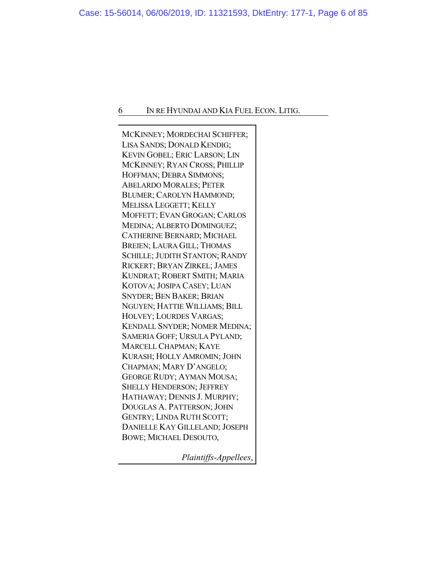MCKINNEY; MORDECHAI SCHIFFER; LISA SANDS; DONALD KENDIG; KEVIN GOBEL; ERIC LARSON; LIN MCKINNEY; RYAN CROSS; PHILLIP HOFFMAN; DEBRA SIMMONS; ABELARDO MORALES; PETER BLUMER; CAROLYN HAMMOND; MELISSA LEGGETT; KELLY MOFFETT; EVAN GROGAN; CARLOS MEDINA; ALBERTO DOMINGUEZ; CATHERINE BERNARD; MICHAEL BREIEN; LAURA GILL; THOMAS SCHILLE; JUDITH STANTON; RANDY RICKERT; BRYAN ZIRKEL; JAMES KUNDRAT; ROBERT SMITH; MARIA KOTOVA; JOSIPA CASEY; LUAN SNYDER; BEN BAKER; BRIAN NGUYEN; HATTIE WILLIAMS; BILL HOLVEY; LOURDES VARGAS; KENDALL SNYDER; NOMER MEDINA; SAMERIA GOFF; URSULA PYLAND; MARCELL CHAPMAN; KAYE KURASH; HOLLY AMROMIN; JOHN CHAPMAN; MARY D'ANGELO; GEORGE RUDY; AYMAN MOUSA; SHELLY HENDERSON; JEFFREY HATHAWAY; DENNIS J. MURPHY; DOUGLAS A. PATTERSON; JOHN GENTRY; LINDA RUTH SCOTT; DANIELLE KAY GILLELAND; JOSEPH BOWE; MICHAEL DESOUTO,

*Plaintiffs-Appellees*,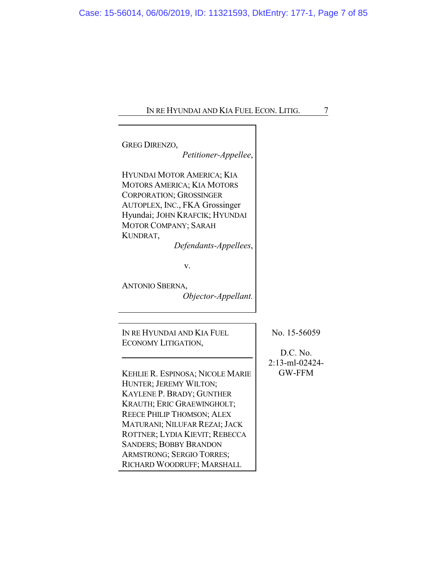| IN RE HYUNDAI AND KIA FUEL ECON. LITIG. |  |
|-----------------------------------------|--|
|-----------------------------------------|--|

| <b>GREG DIRENZO,</b><br>Petitioner-Appellee,                                                                                                                                                                                                                                                                              |                                 |
|---------------------------------------------------------------------------------------------------------------------------------------------------------------------------------------------------------------------------------------------------------------------------------------------------------------------------|---------------------------------|
| HYUNDAI MOTOR AMERICA; KIA<br><b>MOTORS AMERICA; KIA MOTORS</b><br><b>CORPORATION; GROSSINGER</b><br>AUTOPLEX, INC., FKA Grossinger<br>Hyundai; JOHN KRAFCIK; HYUNDAI<br>MOTOR COMPANY; SARAH<br>KUNDRAT,<br>Defendants-Appellees,                                                                                        |                                 |
| v.<br><b>ANTONIO SBERNA,</b><br>Objector-Appellant.                                                                                                                                                                                                                                                                       |                                 |
| IN RE HYUNDAI AND KIA FUEL<br>ECONOMY LITIGATION,                                                                                                                                                                                                                                                                         | No. 15-56059<br>D.C. No.        |
| KEHLIE R. ESPINOSA; NICOLE MARIE<br>HUNTER; JEREMY WILTON;<br>KAYLENE P. BRADY; GUNTHER<br>KRAUTH; ERIC GRAEWINGHOLT;<br><b>REECE PHILIP THOMSON; ALEX</b><br>MATURANI; NILUFAR REZAI; JACK<br>ROTTNER; LYDIA KIEVIT; REBECCA<br><b>SANDERS; BOBBY BRANDON</b><br>ARMSTRONG; SERGIO TORRES;<br>RICHARD WOODRUFF; MARSHALL | 2:13-ml-02424-<br><b>GW-FFM</b> |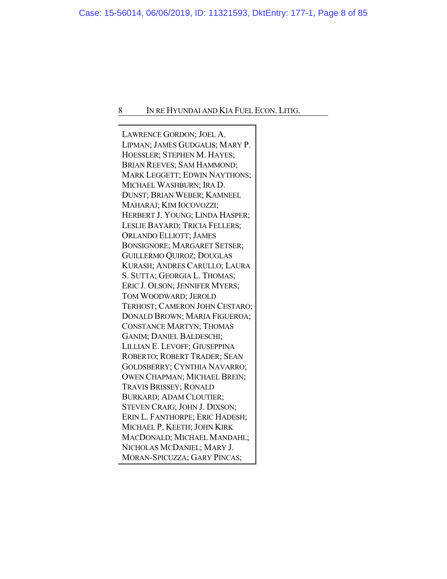LAWRENCE GORDON; JOEL A. LIPMAN; JAMES GUDGALIS; MARY P. HOESSLER; STEPHEN M. HAYES; BRIAN REEVES; SAM HAMMOND; MARK LEGGETT; EDWIN NAYTHONS; MICHAEL WASHBURN; IRA D. DUNST; BRIAN WEBER; KAMNEEL MAHARAJ; KIM IOCOVOZZI; HERBERT J. YOUNG; LINDA HASPER; LESLIE BAYARD; TRICIA FELLERS; ORLANDO ELLIOTT; JAMES BONSIGNORE; MARGARET SETSER; GUILLERMO QUIROZ; DOUGLAS KURASH; ANDRES CARULLO; LAURA S. SUTTA; GEORGIA L. THOMAS; ERIC J. OLSON; JENNIFER MYERS; TOM WOODWARD; JEROLD TERHOST; CAMERON JOHN CESTARO; DONALD BROWN; MARIA FIGUEROA; CONSTANCE MARTYN; THOMAS GANIM; DANIEL BALDESCHI; LILLIAN E. LEVOFF; GIUSEPPINA ROBERTO; ROBERT TRADER; SEAN GOLDSBERRY; CYNTHIA NAVARRO; OWEN CHAPMAN; MICHAEL BREIN; TRAVIS BRISSEY; RONALD BURKARD; ADAM CLOUTIER; STEVEN CRAIG; JOHN J. DIXSON; ERIN L. FANTHORPE; ERIC HADESH; MICHAEL P. KEETH; JOHN KIRK MACDONALD; MICHAEL MANDAHL; NICHOLAS MCDANIEL; MARY J. MORAN-SPICUZZA; GARY PINCAS;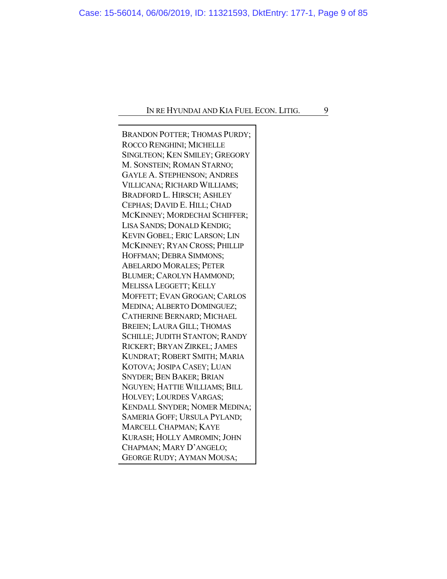BRANDON POTTER; THOMAS PURDY; ROCCO RENGHINI; MICHELLE SINGLTEON; KEN SMILEY; GREGORY M. SONSTEIN; ROMAN STARNO; GAYLE A. STEPHENSON; ANDRES VILLICANA; RICHARD WILLIAMS; BRADFORD L. HIRSCH; ASHLEY CEPHAS; DAVID E. HILL; CHAD MCKINNEY; MORDECHAI SCHIFFER; LISA SANDS; DONALD KENDIG; KEVIN GOBEL; ERIC LARSON; LIN MCKINNEY; RYAN CROSS; PHILLIP HOFFMAN; DEBRA SIMMONS; ABELARDO MORALES; PETER BLUMER; CAROLYN HAMMOND; MELISSA LEGGETT; KELLY MOFFETT; EVAN GROGAN; CARLOS MEDINA; ALBERTO DOMINGUEZ; CATHERINE BERNARD; MICHAEL BREIEN; LAURA GILL; THOMAS SCHILLE; JUDITH STANTON; RANDY RICKERT; BRYAN ZIRKEL; JAMES KUNDRAT; ROBERT SMITH; MARIA KOTOVA; JOSIPA CASEY; LUAN SNYDER; BEN BAKER; BRIAN NGUYEN; HATTIE WILLIAMS; BILL HOLVEY; LOURDES VARGAS; KENDALL SNYDER; NOMER MEDINA; SAMERIA GOFF; URSULA PYLAND; MARCELL CHAPMAN; KAYE KURASH; HOLLY AMROMIN; JOHN CHAPMAN; MARY D'ANGELO; GEORGE RUDY; AYMAN MOUSA;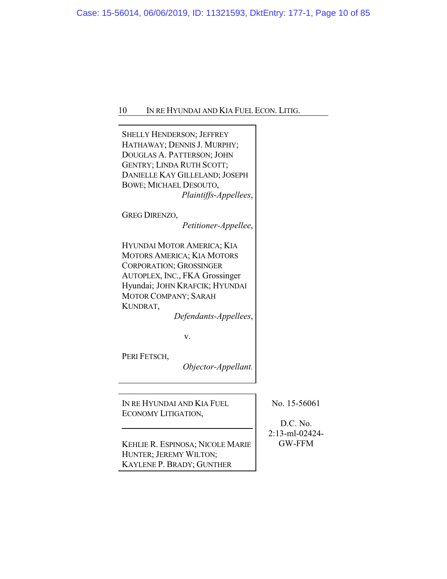| <b>SHELLY HENDERSON; JEFFREY</b><br>HATHAWAY; DENNIS J. MURPHY;<br>DOUGLAS A. PATTERSON; JOHN<br>GENTRY; LINDA RUTH SCOTT;<br>DANIELLE KAY GILLELAND; JOSEPH<br>BOWE; MICHAEL DESOUTO,<br>Plaintiffs-Appellees,                                 |                                            |
|-------------------------------------------------------------------------------------------------------------------------------------------------------------------------------------------------------------------------------------------------|--------------------------------------------|
| <b>GREG DIRENZO,</b><br>Petitioner-Appellee,                                                                                                                                                                                                    |                                            |
| HYUNDAI MOTOR AMERICA; KIA<br><b>MOTORS AMERICA; KIA MOTORS</b><br><b>CORPORATION; GROSSINGER</b><br>AUTOPLEX, INC., FKA Grossinger<br>Hyundai; JOHN KRAFCIK; HYUNDAI<br><b>MOTOR COMPANY; SARAH</b><br>KUNDRAT,<br>Defendants-Appellees,<br>v. |                                            |
| PERI FETSCH,<br>Objector-Appellant.                                                                                                                                                                                                             |                                            |
|                                                                                                                                                                                                                                                 |                                            |
| IN RE HYUNDAI AND KIA FUEL<br>ECONOMY LITIGATION,                                                                                                                                                                                               | No. 15-56061<br>D.C. No.<br>2:13-ml-02424- |
| KEHLIE R. ESPINOSA; NICOLE MARIE<br>HUNTER; JEREMY WILTON;                                                                                                                                                                                      | <b>GW-FFM</b>                              |

KAYLENE P. BRADY; GUNTHER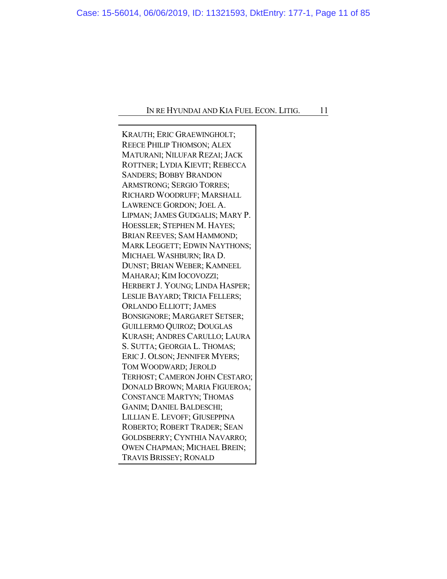KRAUTH; ERIC GRAEWINGHOLT; REECE PHILIP THOMSON; ALEX MATURANI; NILUFAR REZAI; JACK ROTTNER; LYDIA KIEVIT; REBECCA SANDERS; BOBBY BRANDON ARMSTRONG; SERGIO TORRES; RICHARD WOODRUFF; MARSHALL LAWRENCE GORDON; JOEL A. LIPMAN; JAMES GUDGALIS; MARY P. HOESSLER; STEPHEN M. HAYES; BRIAN REEVES; SAM HAMMOND; MARK LEGGETT; EDWIN NAYTHONS; MICHAEL WASHBURN; IRA D. DUNST; BRIAN WEBER; KAMNEEL MAHARAJ; KIM IOCOVOZZI; HERBERT J. YOUNG; LINDA HASPER; LESLIE BAYARD; TRICIA FELLERS; ORLANDO ELLIOTT; JAMES BONSIGNORE; MARGARET SETSER; GUILLERMO QUIROZ; DOUGLAS KURASH; ANDRES CARULLO; LAURA S. SUTTA; GEORGIA L. THOMAS; ERIC J. OLSON; JENNIFER MYERS; TOM WOODWARD; JEROLD TERHOST; CAMERON JOHN CESTARO; DONALD BROWN; MARIA FIGUEROA; CONSTANCE MARTYN; THOMAS GANIM; DANIEL BALDESCHI; LILLIAN E. LEVOFF; GIUSEPPINA ROBERTO; ROBERT TRADER; SEAN GOLDSBERRY; CYNTHIA NAVARRO; OWEN CHAPMAN; MICHAEL BREIN; TRAVIS BRISSEY; RONALD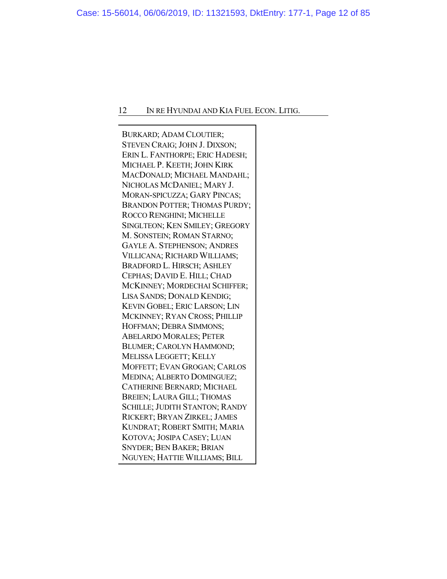BURKARD; ADAM CLOUTIER; STEVEN CRAIG; JOHN J. DIXSON; ERIN L. FANTHORPE; ERIC HADESH; MICHAEL P. KEETH; JOHN KIRK MACDONALD; MICHAEL MANDAHL; NICHOLAS MCDANIEL; MARY J. MORAN-SPICUZZA; GARY PINCAS; BRANDON POTTER; THOMAS PURDY; ROCCO RENGHINI; MICHELLE SINGLTEON; KEN SMILEY; GREGORY M. SONSTEIN; ROMAN STARNO; GAYLE A. STEPHENSON; ANDRES VILLICANA; RICHARD WILLIAMS; BRADFORD L. HIRSCH; ASHLEY CEPHAS; DAVID E. HILL; CHAD MCKINNEY; MORDECHAI SCHIFFER; LISA SANDS; DONALD KENDIG; KEVIN GOBEL; ERIC LARSON; LIN MCKINNEY; RYAN CROSS; PHILLIP HOFFMAN; DEBRA SIMMONS; ABELARDO MORALES; PETER BLUMER; CAROLYN HAMMOND; MELISSA LEGGETT; KELLY MOFFETT; EVAN GROGAN; CARLOS MEDINA; ALBERTO DOMINGUEZ; CATHERINE BERNARD; MICHAEL BREIEN; LAURA GILL; THOMAS SCHILLE; JUDITH STANTON; RANDY RICKERT; BRYAN ZIRKEL; JAMES KUNDRAT; ROBERT SMITH; MARIA KOTOVA; JOSIPA CASEY; LUAN SNYDER; BEN BAKER; BRIAN NGUYEN; HATTIE WILLIAMS; BILL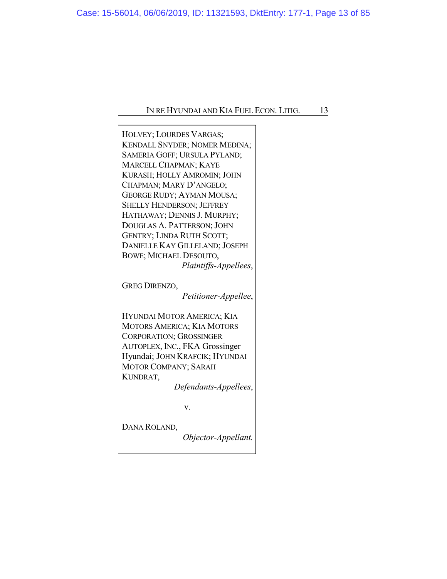| HOLVEY; LOURDES VARGAS;<br><b>KENDALL SNYDER; NOMER MEDINA;</b><br>SAMERIA GOFF; URSULA PYLAND;<br>MARCELL CHAPMAN; KAYE<br>KURASH; HOLLY AMROMIN; JOHN<br>CHAPMAN; MARY D'ANGELO;<br><b>GEORGE RUDY; AYMAN MOUSA;</b><br><b>SHELLY HENDERSON; JEFFREY</b><br>HATHAWAY; DENNIS J. MURPHY;<br>DOUGLAS A. PATTERSON; JOHN<br><b>GENTRY; LINDA RUTH SCOTT;</b><br>DANIELLE KAY GILLELAND; JOSEPH<br>BOWE; MICHAEL DESOUTO,<br>Plaintiffs-Appellees, |  |
|--------------------------------------------------------------------------------------------------------------------------------------------------------------------------------------------------------------------------------------------------------------------------------------------------------------------------------------------------------------------------------------------------------------------------------------------------|--|
| <b>GREG DIRENZO,</b>                                                                                                                                                                                                                                                                                                                                                                                                                             |  |
| Petitioner-Appellee,                                                                                                                                                                                                                                                                                                                                                                                                                             |  |
| HYUNDAI MOTOR AMERICA; KIA<br><b>MOTORS AMERICA; KIA MOTORS</b><br><b>CORPORATION; GROSSINGER</b><br>AUTOPLEX, INC., FKA Grossinger<br>Hyundai; JOHN KRAFCIK; HYUNDAI<br><b>MOTOR COMPANY; SARAH</b><br>KUNDRAT,<br>Defendants-Appellees,                                                                                                                                                                                                        |  |
| v.                                                                                                                                                                                                                                                                                                                                                                                                                                               |  |
| DANA ROLAND,                                                                                                                                                                                                                                                                                                                                                                                                                                     |  |

*Objector-Appellant.*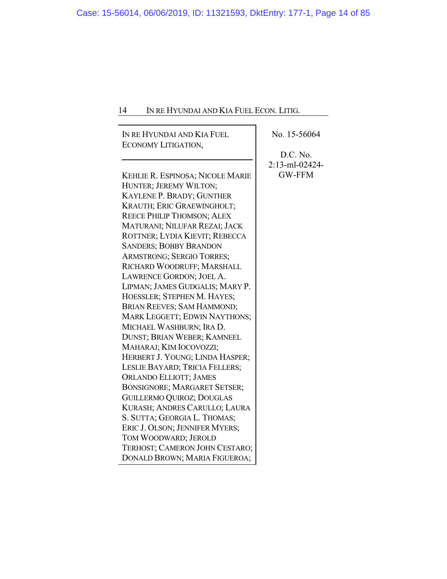| IN RE HYUNDAI AND KIA FUEL          | No. 15-56064   |
|-------------------------------------|----------------|
| ECONOMY LITIGATION,                 |                |
|                                     | D.C. No.       |
|                                     | 2:13-ml-02424- |
| KEHLIE R. ESPINOSA; NICOLE MARIE    | <b>GW-FFM</b>  |
| HUNTER; JEREMY WILTON;              |                |
| KAYLENE P. BRADY; GUNTHER           |                |
| KRAUTH; ERIC GRAEWINGHOLT;          |                |
| REECE PHILIP THOMSON; ALEX          |                |
| MATURANI; NILUFAR REZAI; JACK       |                |
| ROTTNER; LYDIA KIEVIT; REBECCA      |                |
| <b>SANDERS; BOBBY BRANDON</b>       |                |
| <b>ARMSTRONG; SERGIO TORRES;</b>    |                |
| RICHARD WOODRUFF; MARSHALL          |                |
| LAWRENCE GORDON; JOEL A.            |                |
| LIPMAN; JAMES GUDGALIS; MARY P.     |                |
| HOESSLER; STEPHEN M. HAYES;         |                |
| BRIAN REEVES; SAM HAMMOND;          |                |
| MARK LEGGETT; EDWIN NAYTHONS;       |                |
| MICHAEL WASHBURN; IRA D.            |                |
| DUNST; BRIAN WEBER; KAMNEEL         |                |
| MAHARAJ; KIM IOCOVOZZI;             |                |
| HERBERT J. YOUNG; LINDA HASPER;     |                |
| LESLIE BAYARD; TRICIA FELLERS;      |                |
| <b>ORLANDO ELLIOTT; JAMES</b>       |                |
| <b>BONSIGNORE; MARGARET SETSER;</b> |                |
| <b>GUILLERMO QUIROZ; DOUGLAS</b>    |                |
| KURASH; ANDRES CARULLO; LAURA       |                |
| S. SUTTA; GEORGIA L. THOMAS;        |                |
| ERIC J. OLSON; JENNIFER MYERS;      |                |
| TOM WOODWARD; JEROLD                |                |
| TERHOST; CAMERON JOHN CESTARO;      |                |
| DONALD BROWN; MARIA FIGUEROA;       |                |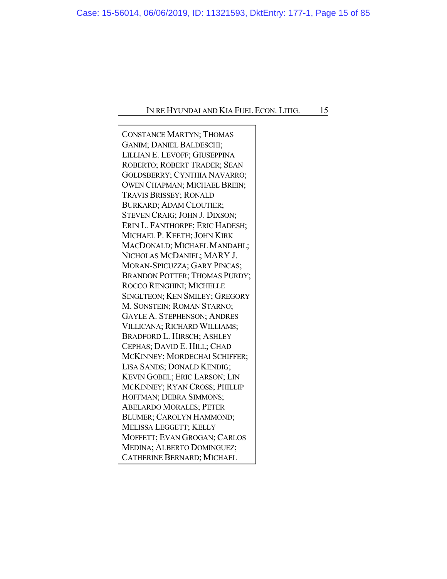CONSTANCE MARTYN; THOMAS GANIM; DANIEL BALDESCHI; LILLIAN E. LEVOFF; GIUSEPPINA ROBERTO; ROBERT TRADER; SEAN GOLDSBERRY; CYNTHIA NAVARRO; OWEN CHAPMAN; MICHAEL BREIN; TRAVIS BRISSEY; RONALD BURKARD; ADAM CLOUTIER; STEVEN CRAIG; JOHN J. DIXSON; ERIN L. FANTHORPE; ERIC HADESH; MICHAEL P. KEETH; JOHN KIRK MACDONALD; MICHAEL MANDAHL; NICHOLAS MCDANIEL; MARY J. MORAN-SPICUZZA; GARY PINCAS; BRANDON POTTER; THOMAS PURDY; ROCCO RENGHINI; MICHELLE SINGLTEON; KEN SMILEY; GREGORY M. SONSTEIN; ROMAN STARNO; GAYLE A. STEPHENSON; ANDRES VILLICANA; RICHARD WILLIAMS; BRADFORD L. HIRSCH; ASHLEY CEPHAS; DAVID E. HILL; CHAD MCKINNEY; MORDECHAI SCHIFFER; LISA SANDS; DONALD KENDIG; KEVIN GOBEL; ERIC LARSON; LIN MCKINNEY; RYAN CROSS; PHILLIP HOFFMAN; DEBRA SIMMONS; ABELARDO MORALES; PETER BLUMER; CAROLYN HAMMOND; MELISSA LEGGETT; KELLY MOFFETT; EVAN GROGAN; CARLOS MEDINA; ALBERTO DOMINGUEZ; CATHERINE BERNARD; MICHAEL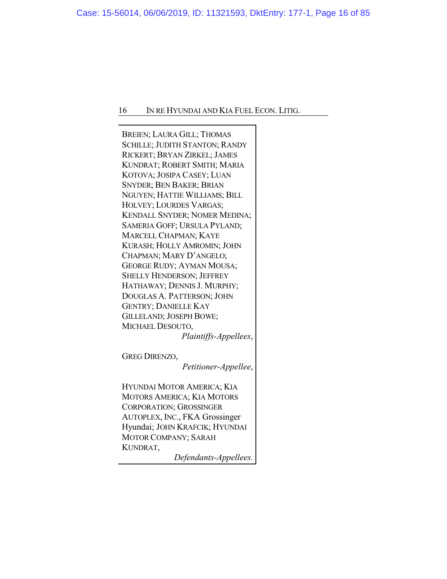BREIEN; LAURA GILL; THOMAS SCHILLE; JUDITH STANTON; RANDY RICKERT; BRYAN ZIRKEL; JAMES KUNDRAT; ROBERT SMITH; MARIA KOTOVA; JOSIPA CASEY; LUAN SNYDER; BEN BAKER; BRIAN NGUYEN; HATTIE WILLIAMS; BILL HOLVEY; LOURDES VARGAS; KENDALL SNYDER; NOMER MEDINA; SAMERIA GOFF; URSULA PYLAND; MARCELL CHAPMAN; KAYE KURASH; HOLLY AMROMIN; JOHN CHAPMAN; MARY D'ANGELO; GEORGE RUDY; AYMAN MOUSA; SHELLY HENDERSON; JEFFREY HATHAWAY; DENNIS J. MURPHY; DOUGLAS A. PATTERSON; JOHN GENTRY; DANIELLE KAY GILLELAND; JOSEPH BOWE; MICHAEL DESOUTO, *Plaintiffs-Appellees*, GREG DIRENZO, *Petitioner-Appellee*, HYUNDAI MOTOR AMERICA; KIA MOTORS AMERICA; KIA MOTORS CORPORATION; GROSSINGER AUTOPLEX, INC., FKA Grossinger Hyundai; JOHN KRAFCIK; HYUNDAI

*Defendants-Appellees.*

MOTOR COMPANY; SARAH

KUNDRAT,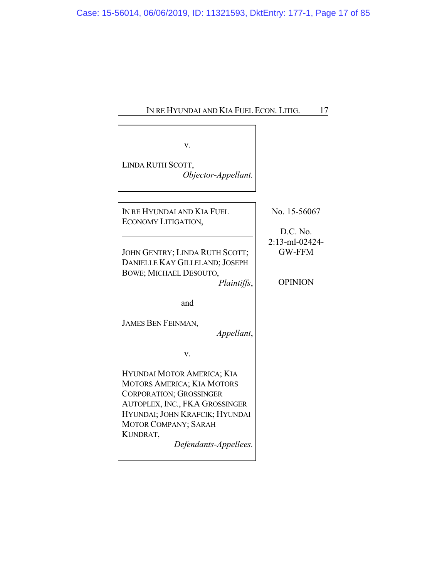| IN RE HYUNDAI AND KIA FUEL ECON. LITIG.<br>17                                                                                                                                                                                             |                                                   |
|-------------------------------------------------------------------------------------------------------------------------------------------------------------------------------------------------------------------------------------------|---------------------------------------------------|
|                                                                                                                                                                                                                                           |                                                   |
| V.<br>LINDA RUTH SCOTT,<br>Objector-Appellant.                                                                                                                                                                                            |                                                   |
| IN RE HYUNDAI AND KIA FUEL<br>ECONOMY LITIGATION,                                                                                                                                                                                         | No. 15-56067<br>D.C. No.                          |
| JOHN GENTRY; LINDA RUTH SCOTT;<br>DANIELLE KAY GILLELAND; JOSEPH<br><b>BOWE; MICHAEL DESOUTO,</b><br>Plaintiffs,                                                                                                                          | 2:13-ml-02424-<br><b>GW-FFM</b><br><b>OPINION</b> |
| and                                                                                                                                                                                                                                       |                                                   |
| <b>JAMES BEN FEINMAN,</b><br>Appellant,                                                                                                                                                                                                   |                                                   |
| v.                                                                                                                                                                                                                                        |                                                   |
| HYUNDAI MOTOR AMERICA; KIA<br><b>MOTORS AMERICA; KIA MOTORS</b><br><b>CORPORATION; GROSSINGER</b><br>AUTOPLEX, INC., FKA GROSSINGER<br>HYUNDAI; JOHN KRAFCIK; HYUNDAI<br><b>MOTOR COMPANY; SARAH</b><br>KUNDRAT,<br>Defendants-Appellees. |                                                   |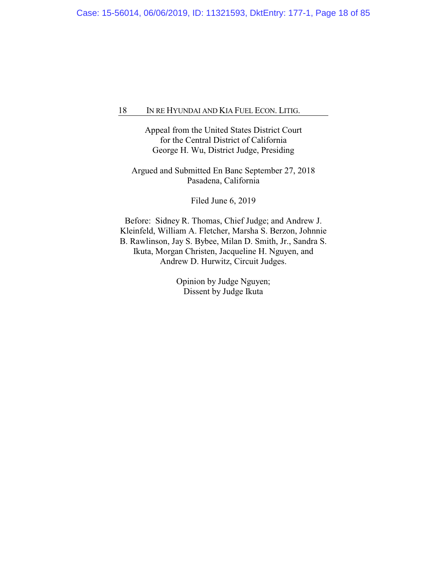Appeal from the United States District Court for the Central District of California George H. Wu, District Judge, Presiding

Argued and Submitted En Banc September 27, 2018 Pasadena, California

Filed June 6, 2019

Before: Sidney R. Thomas, Chief Judge; and Andrew J. Kleinfeld, William A. Fletcher, Marsha S. Berzon, Johnnie B. Rawlinson, Jay S. Bybee, Milan D. Smith, Jr., Sandra S. Ikuta, Morgan Christen, Jacqueline H. Nguyen, and Andrew D. Hurwitz, Circuit Judges.

> Opinion by Judge Nguyen; Dissent by Judge Ikuta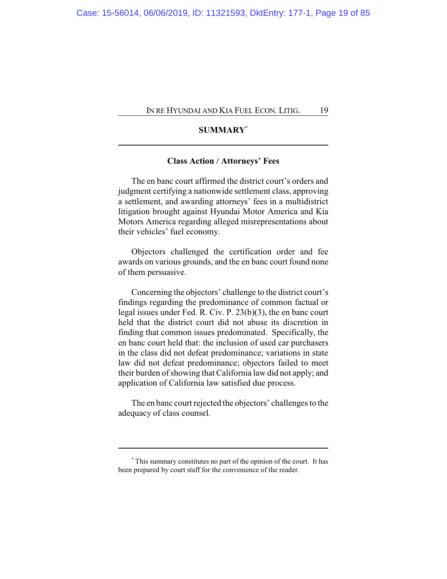## **SUMMARY\***

## **Class Action / Attorneys' Fees**

The en banc court affirmed the district court's orders and judgment certifying a nationwide settlement class, approving a settlement, and awarding attorneys' fees in a multidistrict litigation brought against Hyundai Motor America and Kia Motors America regarding alleged misrepresentations about their vehicles' fuel economy.

Objectors challenged the certification order and fee awards on various grounds, and the en banc court found none of them persuasive.

Concerning the objectors' challenge to the district court's findings regarding the predominance of common factual or legal issues under Fed. R. Civ. P. 23(b)(3), the en banc court held that the district court did not abuse its discretion in finding that common issues predominated. Specifically, the en banc court held that: the inclusion of used car purchasers in the class did not defeat predominance; variations in state law did not defeat predominance; objectors failed to meet their burden of showing that California law did not apply; and application of California law satisfied due process.

The en banc court rejected the objectors' challenges to the adequacy of class counsel.

**<sup>\*</sup>** This summary constitutes no part of the opinion of the court. It has been prepared by court staff for the convenience of the reader.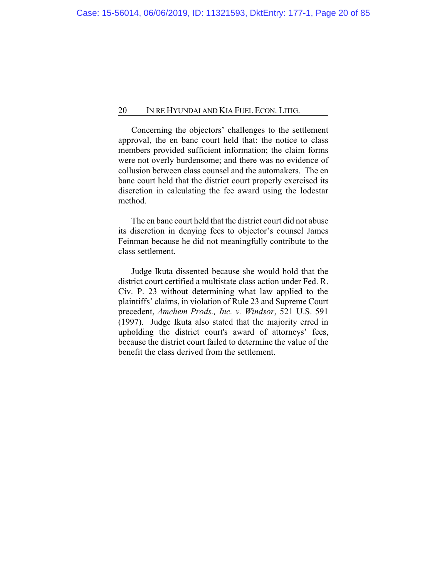Concerning the objectors' challenges to the settlement approval, the en banc court held that: the notice to class members provided sufficient information; the claim forms were not overly burdensome; and there was no evidence of collusion between class counsel and the automakers. The en banc court held that the district court properly exercised its discretion in calculating the fee award using the lodestar method.

The en banc court held that the district court did not abuse its discretion in denying fees to objector's counsel James Feinman because he did not meaningfully contribute to the class settlement.

Judge Ikuta dissented because she would hold that the district court certified a multistate class action under Fed. R. Civ. P. 23 without determining what law applied to the plaintiffs' claims, in violation of Rule 23 and Supreme Court precedent, *Amchem Prods., Inc. v. Windsor*, 521 U.S. 591 (1997). Judge Ikuta also stated that the majority erred in upholding the district court's award of attorneys' fees, because the district court failed to determine the value of the benefit the class derived from the settlement.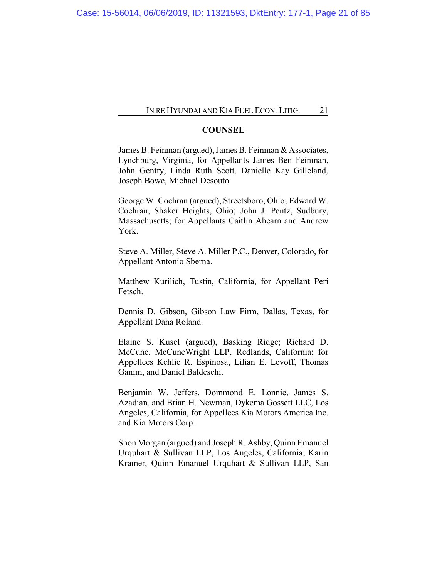#### **COUNSEL**

James B. Feinman (argued), James B. Feinman & Associates, Lynchburg, Virginia, for Appellants James Ben Feinman, John Gentry, Linda Ruth Scott, Danielle Kay Gilleland, Joseph Bowe, Michael Desouto.

George W. Cochran (argued), Streetsboro, Ohio; Edward W. Cochran, Shaker Heights, Ohio; John J. Pentz, Sudbury, Massachusetts; for Appellants Caitlin Ahearn and Andrew York.

Steve A. Miller, Steve A. Miller P.C., Denver, Colorado, for Appellant Antonio Sberna.

Matthew Kurilich, Tustin, California, for Appellant Peri Fetsch.

Dennis D. Gibson, Gibson Law Firm, Dallas, Texas, for Appellant Dana Roland.

Elaine S. Kusel (argued), Basking Ridge; Richard D. McCune, McCuneWright LLP, Redlands, California; for Appellees Kehlie R. Espinosa, Lilian E. Levoff, Thomas Ganim, and Daniel Baldeschi.

Benjamin W. Jeffers, Dommond E. Lonnie, James S. Azadian, and Brian H. Newman, Dykema Gossett LLC, Los Angeles, California, for Appellees Kia Motors America Inc. and Kia Motors Corp.

Shon Morgan (argued) and Joseph R. Ashby, Quinn Emanuel Urquhart & Sullivan LLP, Los Angeles, California; Karin Kramer, Quinn Emanuel Urquhart & Sullivan LLP, San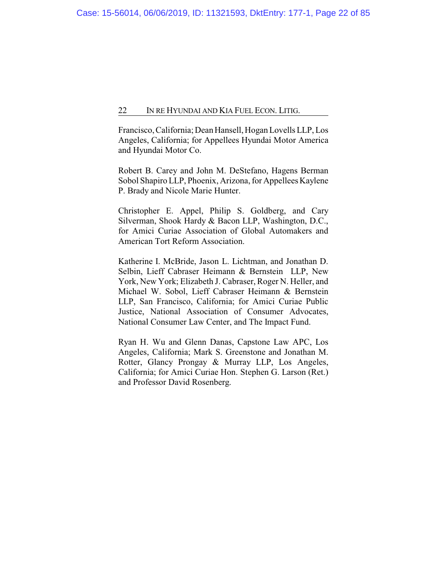Francisco, California; Dean Hansell, Hogan Lovells LLP, Los Angeles, California; for Appellees Hyundai Motor America and Hyundai Motor Co.

Robert B. Carey and John M. DeStefano, Hagens Berman Sobol Shapiro LLP, Phoenix, Arizona, for Appellees Kaylene P. Brady and Nicole Marie Hunter.

Christopher E. Appel, Philip S. Goldberg, and Cary Silverman, Shook Hardy & Bacon LLP, Washington, D.C., for Amici Curiae Association of Global Automakers and American Tort Reform Association.

Katherine I. McBride, Jason L. Lichtman, and Jonathan D. Selbin, Lieff Cabraser Heimann & Bernstein LLP, New York, New York; Elizabeth J. Cabraser, Roger N. Heller, and Michael W. Sobol, Lieff Cabraser Heimann & Bernstein LLP, San Francisco, California; for Amici Curiae Public Justice, National Association of Consumer Advocates, National Consumer Law Center, and The Impact Fund.

Ryan H. Wu and Glenn Danas, Capstone Law APC, Los Angeles, California; Mark S. Greenstone and Jonathan M. Rotter, Glancy Prongay & Murray LLP, Los Angeles, California; for Amici Curiae Hon. Stephen G. Larson (Ret.) and Professor David Rosenberg.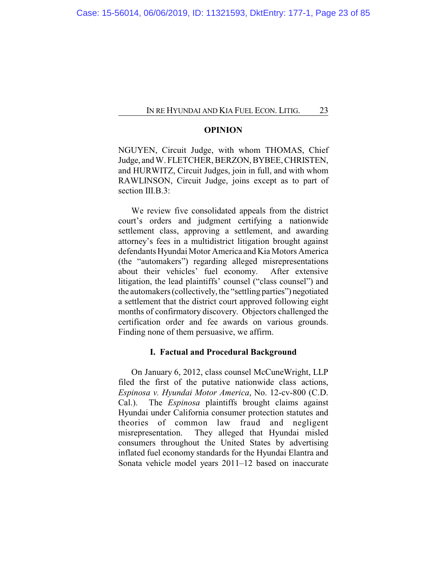#### **OPINION**

NGUYEN, Circuit Judge, with whom THOMAS, Chief Judge, and W. FLETCHER, BERZON, BYBEE, CHRISTEN, and HURWITZ, Circuit Judges, join in full, and with whom RAWLINSON, Circuit Judge, joins except as to part of section III.B.3:

We review five consolidated appeals from the district court's orders and judgment certifying a nationwide settlement class, approving a settlement, and awarding attorney's fees in a multidistrict litigation brought against defendants Hyundai Motor America and Kia Motors America (the "automakers") regarding alleged misrepresentations about their vehicles' fuel economy. After extensive litigation, the lead plaintiffs' counsel ("class counsel") and the automakers (collectively, the "settling parties") negotiated a settlement that the district court approved following eight months of confirmatory discovery. Objectors challenged the certification order and fee awards on various grounds. Finding none of them persuasive, we affirm.

#### **I. Factual and Procedural Background**

On January 6, 2012, class counsel McCuneWright, LLP filed the first of the putative nationwide class actions, *Espinosa v. Hyundai Motor America*, No. 12-cv-800 (C.D. Cal.). The *Espinosa* plaintiffs brought claims against Hyundai under California consumer protection statutes and theories of common law fraud and negligent misrepresentation. They alleged that Hyundai misled consumers throughout the United States by advertising inflated fuel economy standards for the Hyundai Elantra and Sonata vehicle model years 2011–12 based on inaccurate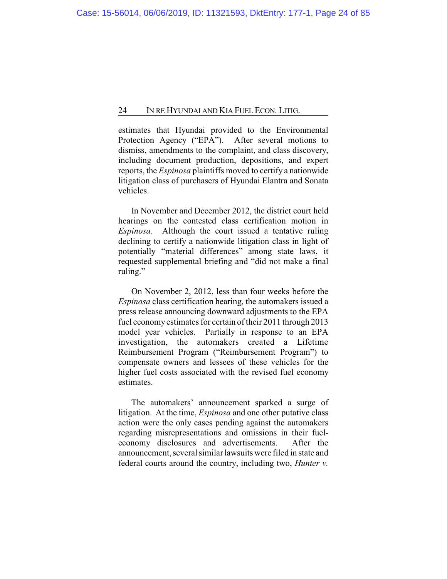estimates that Hyundai provided to the Environmental Protection Agency ("EPA"). After several motions to dismiss, amendments to the complaint, and class discovery, including document production, depositions, and expert reports, the *Espinosa* plaintiffs moved to certify a nationwide litigation class of purchasers of Hyundai Elantra and Sonata vehicles.

In November and December 2012, the district court held hearings on the contested class certification motion in *Espinosa*. Although the court issued a tentative ruling declining to certify a nationwide litigation class in light of potentially "material differences" among state laws, it requested supplemental briefing and "did not make a final ruling."

On November 2, 2012, less than four weeks before the *Espinosa* class certification hearing, the automakers issued a press release announcing downward adjustments to the EPA fuel economyestimates for certain of their 2011 through 2013 model year vehicles. Partially in response to an EPA investigation, the automakers created a Lifetime Reimbursement Program ("Reimbursement Program") to compensate owners and lessees of these vehicles for the higher fuel costs associated with the revised fuel economy estimates.

The automakers' announcement sparked a surge of litigation. At the time, *Espinosa* and one other putative class action were the only cases pending against the automakers regarding misrepresentations and omissions in their fueleconomy disclosures and advertisements. After the announcement, several similar lawsuits were filed in state and federal courts around the country, including two, *Hunter v.*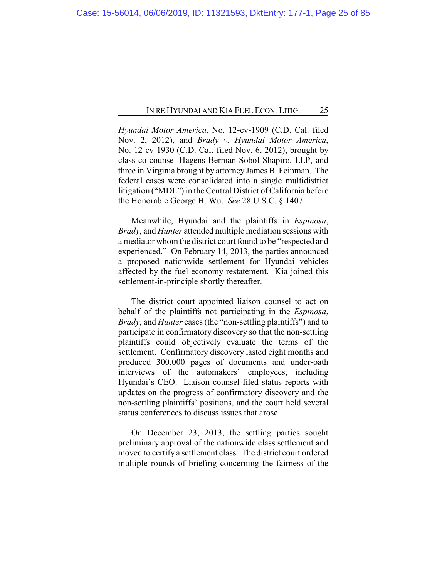*Hyundai Motor America*, No. 12-cv-1909 (C.D. Cal. filed Nov. 2, 2012), and *Brady v. Hyundai Motor America*, No. 12-cv-1930 (C.D. Cal. filed Nov. 6, 2012), brought by class co-counsel Hagens Berman Sobol Shapiro, LLP, and three in Virginia brought by attorney James B. Feinman. The federal cases were consolidated into a single multidistrict litigation ("MDL") in the Central District of California before the Honorable George H. Wu. *See* 28 U.S.C. § 1407.

Meanwhile, Hyundai and the plaintiffs in *Espinosa*, *Brady*, and *Hunter* attended multiple mediation sessions with a mediator whom the district court found to be "respected and experienced." On February 14, 2013, the parties announced a proposed nationwide settlement for Hyundai vehicles affected by the fuel economy restatement. Kia joined this settlement-in-principle shortly thereafter.

The district court appointed liaison counsel to act on behalf of the plaintiffs not participating in the *Espinosa*, *Brady*, and *Hunter* cases (the "non-settling plaintiffs") and to participate in confirmatory discovery so that the non-settling plaintiffs could objectively evaluate the terms of the settlement. Confirmatory discovery lasted eight months and produced 300,000 pages of documents and under-oath interviews of the automakers' employees, including Hyundai's CEO. Liaison counsel filed status reports with updates on the progress of confirmatory discovery and the non-settling plaintiffs' positions, and the court held several status conferences to discuss issues that arose.

On December 23, 2013, the settling parties sought preliminary approval of the nationwide class settlement and moved to certify a settlement class. The district court ordered multiple rounds of briefing concerning the fairness of the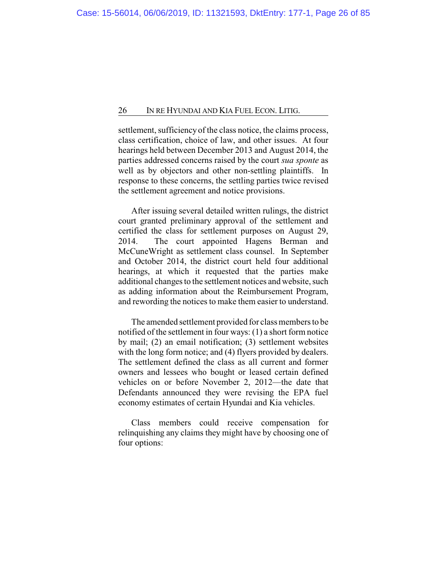settlement, sufficiency of the class notice, the claims process, class certification, choice of law, and other issues. At four hearings held between December 2013 and August 2014, the parties addressed concerns raised by the court *sua sponte* as well as by objectors and other non-settling plaintiffs. In response to these concerns, the settling parties twice revised the settlement agreement and notice provisions.

After issuing several detailed written rulings, the district court granted preliminary approval of the settlement and certified the class for settlement purposes on August 29, 2014. The court appointed Hagens Berman and McCuneWright as settlement class counsel. In September and October 2014, the district court held four additional hearings, at which it requested that the parties make additional changes to the settlement notices and website, such as adding information about the Reimbursement Program, and rewording the notices to make them easier to understand.

The amended settlement provided for class members to be notified of the settlement in four ways: (1) a short form notice by mail; (2) an email notification; (3) settlement websites with the long form notice; and (4) flyers provided by dealers. The settlement defined the class as all current and former owners and lessees who bought or leased certain defined vehicles on or before November 2, 2012—the date that Defendants announced they were revising the EPA fuel economy estimates of certain Hyundai and Kia vehicles.

Class members could receive compensation for relinquishing any claims they might have by choosing one of four options: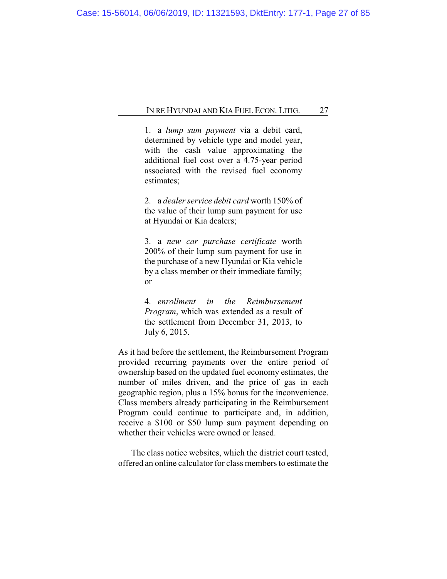1. a *lump sum payment* via a debit card, determined by vehicle type and model year, with the cash value approximating the additional fuel cost over a 4.75-year period associated with the revised fuel economy estimates;

2. a *dealer service debit card* worth 150% of the value of their lump sum payment for use at Hyundai or Kia dealers;

3. a *new car purchase certificate* worth 200% of their lump sum payment for use in the purchase of a new Hyundai or Kia vehicle by a class member or their immediate family; or

4. *enrollment in the Reimbursement Program*, which was extended as a result of the settlement from December 31, 2013, to July 6, 2015.

As it had before the settlement, the Reimbursement Program provided recurring payments over the entire period of ownership based on the updated fuel economy estimates, the number of miles driven, and the price of gas in each geographic region, plus a 15% bonus for the inconvenience. Class members already participating in the Reimbursement Program could continue to participate and, in addition, receive a \$100 or \$50 lump sum payment depending on whether their vehicles were owned or leased.

The class notice websites, which the district court tested, offered an online calculator for class members to estimate the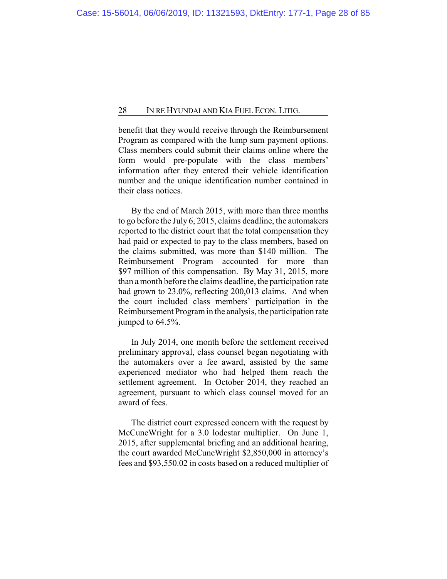benefit that they would receive through the Reimbursement Program as compared with the lump sum payment options. Class members could submit their claims online where the form would pre-populate with the class members' information after they entered their vehicle identification number and the unique identification number contained in their class notices.

By the end of March 2015, with more than three months to go before the July 6, 2015, claims deadline, the automakers reported to the district court that the total compensation they had paid or expected to pay to the class members, based on the claims submitted, was more than \$140 million. The Reimbursement Program accounted for more than \$97 million of this compensation. By May 31, 2015, more than a month before the claims deadline, the participation rate had grown to 23.0%, reflecting 200,013 claims. And when the court included class members' participation in the Reimbursement Program in the analysis, the participation rate jumped to 64.5%.

In July 2014, one month before the settlement received preliminary approval, class counsel began negotiating with the automakers over a fee award, assisted by the same experienced mediator who had helped them reach the settlement agreement. In October 2014, they reached an agreement, pursuant to which class counsel moved for an award of fees.

The district court expressed concern with the request by McCuneWright for a 3.0 lodestar multiplier. On June 1, 2015, after supplemental briefing and an additional hearing, the court awarded McCuneWright \$2,850,000 in attorney's fees and \$93,550.02 in costs based on a reduced multiplier of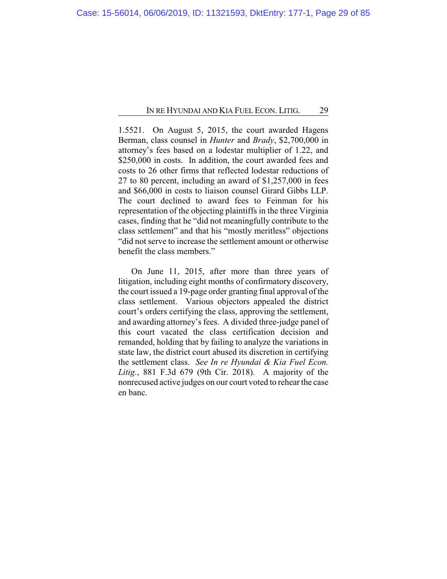1.5521. On August 5, 2015, the court awarded Hagens Berman, class counsel in *Hunter* and *Brady*, \$2,700,000 in attorney's fees based on a lodestar multiplier of 1.22, and \$250,000 in costs. In addition, the court awarded fees and costs to 26 other firms that reflected lodestar reductions of 27 to 80 percent, including an award of \$1,257,000 in fees and \$66,000 in costs to liaison counsel Girard Gibbs LLP. The court declined to award fees to Feinman for his representation of the objecting plaintiffs in the three Virginia cases, finding that he "did not meaningfully contribute to the class settlement" and that his "mostly meritless" objections "did not serve to increase the settlement amount or otherwise benefit the class members."

On June 11, 2015, after more than three years of litigation, including eight months of confirmatory discovery, the court issued a 19-page order granting final approval of the class settlement. Various objectors appealed the district court's orders certifying the class, approving the settlement, and awarding attorney's fees. A divided three-judge panel of this court vacated the class certification decision and remanded, holding that by failing to analyze the variations in state law, the district court abused its discretion in certifying the settlement class. *See In re Hyundai & Kia Fuel Econ. Litig.*, 881 F.3d 679 (9th Cir. 2018). A majority of the nonrecused active judges on our court voted to rehear the case en banc.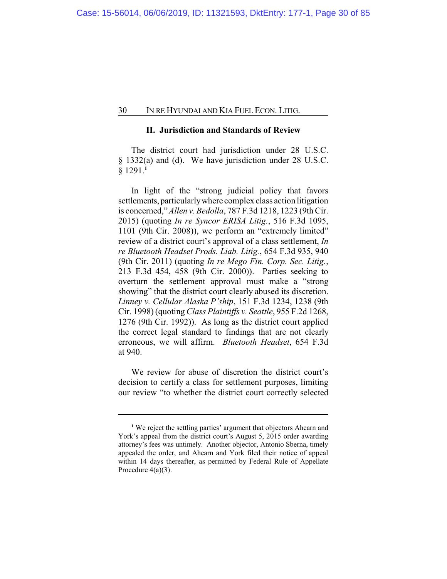### **II. Jurisdiction and Standards of Review**

The district court had jurisdiction under 28 U.S.C. § 1332(a) and (d). We have jurisdiction under 28 U.S.C. § 1291.**<sup>1</sup>**

In light of the "strong judicial policy that favors settlements, particularlywhere complex class action litigation is concerned," *Allen v. Bedolla*, 787 F.3d 1218, 1223 (9th Cir. 2015) (quoting *In re Syncor ERISA Litig.*, 516 F.3d 1095, 1101 (9th Cir. 2008)), we perform an "extremely limited" review of a district court's approval of a class settlement, *In re Bluetooth Headset Prods. Liab. Litig.*, 654 F.3d 935, 940 (9th Cir. 2011) (quoting *In re Mego Fin. Corp. Sec. Litig.*, 213 F.3d 454, 458 (9th Cir. 2000)). Parties seeking to overturn the settlement approval must make a "strong showing" that the district court clearly abused its discretion. *Linney v. Cellular Alaska P'ship*, 151 F.3d 1234, 1238 (9th Cir. 1998) (quoting *Class Plaintiffs v. Seattle*, 955 F.2d 1268, 1276 (9th Cir. 1992)). As long as the district court applied the correct legal standard to findings that are not clearly erroneous, we will affirm. *Bluetooth Headset*, 654 F.3d at 940.

We review for abuse of discretion the district court's decision to certify a class for settlement purposes, limiting our review "to whether the district court correctly selected

**<sup>1</sup>** We reject the settling parties' argument that objectors Ahearn and York's appeal from the district court's August 5, 2015 order awarding attorney's fees was untimely. Another objector, Antonio Sberna, timely appealed the order, and Ahearn and York filed their notice of appeal within 14 days thereafter, as permitted by Federal Rule of Appellate Procedure  $4(a)(3)$ .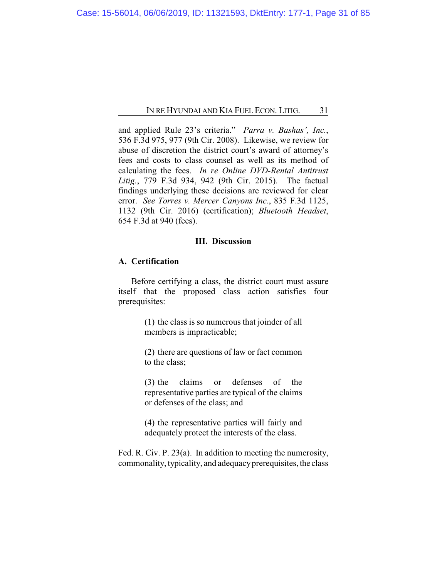and applied Rule 23's criteria." *Parra v. Bashas', Inc.*, 536 F.3d 975, 977 (9th Cir. 2008). Likewise, we review for abuse of discretion the district court's award of attorney's fees and costs to class counsel as well as its method of calculating the fees. *In re Online DVD-Rental Antitrust Litig.*, 779 F.3d 934, 942 (9th Cir. 2015). The factual findings underlying these decisions are reviewed for clear error. *See Torres v. Mercer Canyons Inc.*, 835 F.3d 1125, 1132 (9th Cir. 2016) (certification); *Bluetooth Headset*, 654 F.3d at 940 (fees).

## **III. Discussion**

#### **A. Certification**

Before certifying a class, the district court must assure itself that the proposed class action satisfies four prerequisites:

> (1) the class is so numerous that joinder of all members is impracticable;

> (2) there are questions of law or fact common to the class;

> (3) the claims or defenses of the representative parties are typical of the claims or defenses of the class; and

> (4) the representative parties will fairly and adequately protect the interests of the class.

Fed. R. Civ. P. 23(a). In addition to meeting the numerosity, commonality, typicality, and adequacy prerequisites, the class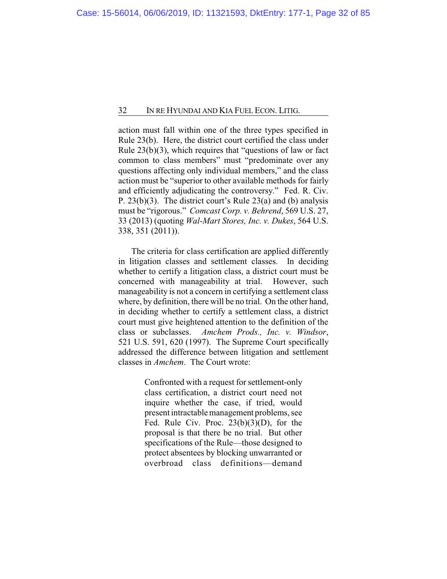action must fall within one of the three types specified in Rule 23(b). Here, the district court certified the class under Rule 23(b)(3), which requires that "questions of law or fact common to class members" must "predominate over any questions affecting only individual members," and the class action must be "superior to other available methods for fairly and efficiently adjudicating the controversy." Fed. R. Civ. P. 23(b)(3). The district court's Rule 23(a) and (b) analysis must be "rigorous." *Comcast Corp. v. Behrend*, 569 U.S. 27, 33 (2013) (quoting *Wal-Mart Stores, Inc. v. Dukes*, 564 U.S. 338, 351 (2011)).

The criteria for class certification are applied differently in litigation classes and settlement classes. In deciding whether to certify a litigation class, a district court must be concerned with manageability at trial. However, such manageability is not a concern in certifying a settlement class where, by definition, there will be no trial. On the other hand, in deciding whether to certify a settlement class, a district court must give heightened attention to the definition of the class or subclasses. *Amchem Prods., Inc. v. Windsor*, 521 U.S. 591, 620 (1997). The Supreme Court specifically addressed the difference between litigation and settlement classes in *Amchem*. The Court wrote:

> Confronted with a request for settlement-only class certification, a district court need not inquire whether the case, if tried, would present intractable management problems, see Fed. Rule Civ. Proc.  $23(b)(3)(D)$ , for the proposal is that there be no trial. But other specifications of the Rule—those designed to protect absentees by blocking unwarranted or overbroad class definitions—demand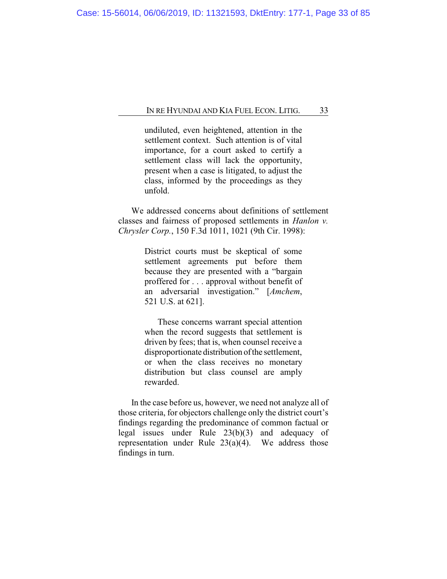undiluted, even heightened, attention in the settlement context. Such attention is of vital importance, for a court asked to certify a settlement class will lack the opportunity, present when a case is litigated, to adjust the class, informed by the proceedings as they unfold.

We addressed concerns about definitions of settlement classes and fairness of proposed settlements in *Hanlon v. Chrysler Corp.*, 150 F.3d 1011, 1021 (9th Cir. 1998):

> District courts must be skeptical of some settlement agreements put before them because they are presented with a "bargain proffered for . . . approval without benefit of an adversarial investigation." [*Amchem*, 521 U.S. at 621].

> These concerns warrant special attention when the record suggests that settlement is driven by fees; that is, when counsel receive a disproportionate distribution of the settlement, or when the class receives no monetary distribution but class counsel are amply rewarded.

In the case before us, however, we need not analyze all of those criteria, for objectors challenge only the district court's findings regarding the predominance of common factual or legal issues under Rule 23(b)(3) and adequacy of representation under Rule  $23(a)(4)$ . We address those findings in turn.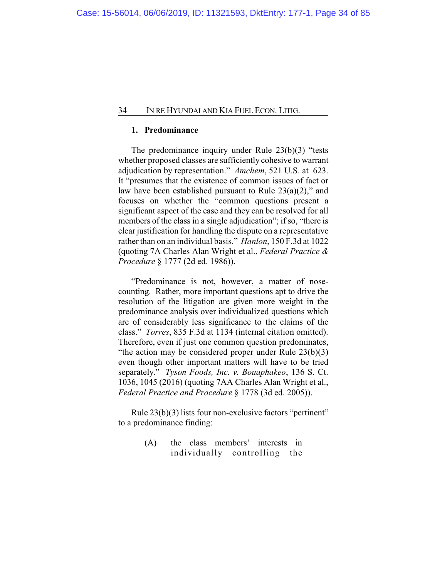## **1. Predominance**

The predominance inquiry under Rule 23(b)(3) "tests whether proposed classes are sufficiently cohesive to warrant adjudication by representation." *Amchem*, 521 U.S. at 623. It "presumes that the existence of common issues of fact or law have been established pursuant to Rule  $23(a)(2)$ ," and focuses on whether the "common questions present a significant aspect of the case and they can be resolved for all members of the class in a single adjudication"; if so, "there is clear justification for handling the dispute on a representative rather than on an individual basis." *Hanlon*, 150 F.3d at 1022 (quoting 7A Charles Alan Wright et al., *Federal Practice & Procedure* § 1777 (2d ed. 1986)).

"Predominance is not, however, a matter of nosecounting. Rather, more important questions apt to drive the resolution of the litigation are given more weight in the predominance analysis over individualized questions which are of considerably less significance to the claims of the class." *Torres*, 835 F.3d at 1134 (internal citation omitted). Therefore, even if just one common question predominates, "the action may be considered proper under Rule  $23(b)(3)$ even though other important matters will have to be tried separately." *Tyson Foods, Inc. v. Bouaphakeo*, 136 S. Ct. 1036, 1045 (2016) (quoting 7AA Charles Alan Wright et al., *Federal Practice and Procedure* § 1778 (3d ed. 2005)).

Rule 23(b)(3) lists four non-exclusive factors "pertinent" to a predominance finding:

> (A) the class members' interests in individually controlling the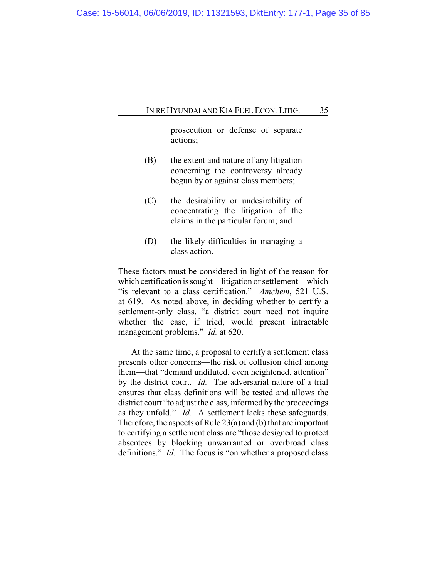prosecution or defense of separate actions;

- (B) the extent and nature of any litigation concerning the controversy already begun by or against class members;
- (C) the desirability or undesirability of concentrating the litigation of the claims in the particular forum; and
- (D) the likely difficulties in managing a class action.

These factors must be considered in light of the reason for which certification is sought—litigation or settlement—which "is relevant to a class certification." *Amchem*, 521 U.S. at 619. As noted above, in deciding whether to certify a settlement-only class, "a district court need not inquire whether the case, if tried, would present intractable management problems." *Id.* at 620.

At the same time, a proposal to certify a settlement class presents other concerns—the risk of collusion chief among them—that "demand undiluted, even heightened, attention" by the district court. *Id.* The adversarial nature of a trial ensures that class definitions will be tested and allows the district court "to adjust the class, informed by the proceedings as they unfold." *Id.* A settlement lacks these safeguards. Therefore, the aspects of Rule 23(a) and (b) that are important to certifying a settlement class are "those designed to protect absentees by blocking unwarranted or overbroad class definitions." *Id.* The focus is "on whether a proposed class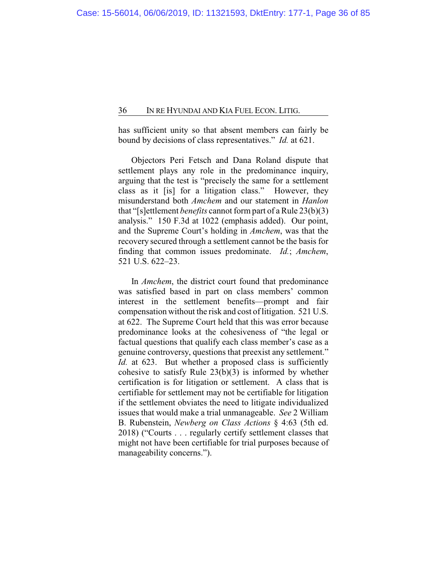has sufficient unity so that absent members can fairly be bound by decisions of class representatives." *Id.* at 621.

Objectors Peri Fetsch and Dana Roland dispute that settlement plays any role in the predominance inquiry, arguing that the test is "precisely the same for a settlement class as it [is] for a litigation class." However, they misunderstand both *Amchem* and our statement in *Hanlon* that "[s]ettlement *benefits* cannot form part of a Rule 23(b)(3) analysis." 150 F.3d at 1022 (emphasis added). Our point, and the Supreme Court's holding in *Amchem*, was that the recovery secured through a settlement cannot be the basis for finding that common issues predominate. *Id.*; *Amchem*, 521 U.S. 622–23.

In *Amchem*, the district court found that predominance was satisfied based in part on class members' common interest in the settlement benefits—prompt and fair compensation without the risk and cost of litigation. 521 U.S. at 622. The Supreme Court held that this was error because predominance looks at the cohesiveness of "the legal or factual questions that qualify each class member's case as a genuine controversy, questions that preexist any settlement." *Id.* at 623. But whether a proposed class is sufficiently cohesive to satisfy Rule  $23(b)(3)$  is informed by whether certification is for litigation or settlement. A class that is certifiable for settlement may not be certifiable for litigation if the settlement obviates the need to litigate individualized issues that would make a trial unmanageable. *See* 2 William B. Rubenstein, *Newberg on Class Actions* § 4:63 (5th ed. 2018) ("Courts . . . regularly certify settlement classes that might not have been certifiable for trial purposes because of manageability concerns.").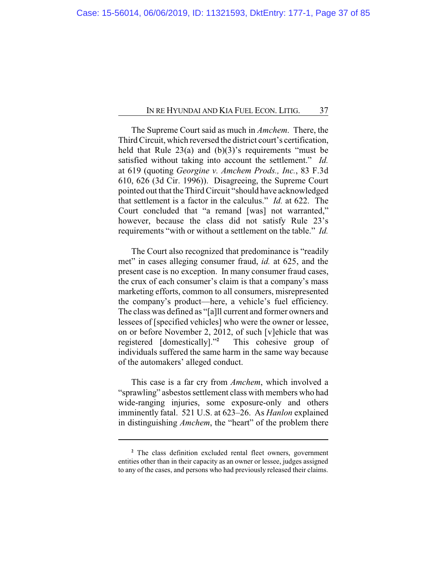The Supreme Court said as much in *Amchem*. There, the Third Circuit, which reversed the district court's certification, held that Rule  $23(a)$  and  $(b)(3)'$ s requirements "must be satisfied without taking into account the settlement." *Id.* at 619 (quoting *Georgine v. Amchem Prods., Inc.*, 83 F.3d 610, 626 (3d Cir. 1996)). Disagreeing, the Supreme Court pointed out that the Third Circuit "should have acknowledged that settlement is a factor in the calculus." *Id.* at 622. The Court concluded that "a remand [was] not warranted," however, because the class did not satisfy Rule 23's requirements "with or without a settlement on the table." *Id.*

The Court also recognized that predominance is "readily met" in cases alleging consumer fraud, *id.* at 625, and the present case is no exception. In many consumer fraud cases, the crux of each consumer's claim is that a company's mass marketing efforts, common to all consumers, misrepresented the company's product—here, a vehicle's fuel efficiency. The class was defined as "[a]ll current and former owners and lessees of [specified vehicles] who were the owner or lessee, on or before November 2, 2012, of such [v]ehicle that was registered [domestically]."**<sup>2</sup>** This cohesive group of individuals suffered the same harm in the same way because of the automakers' alleged conduct.

This case is a far cry from *Amchem*, which involved a "sprawling" asbestos settlement class with members who had wide-ranging injuries, some exposure-only and others imminently fatal. 521 U.S. at 623–26. As *Hanlon* explained in distinguishing *Amchem*, the "heart" of the problem there

**<sup>2</sup>** The class definition excluded rental fleet owners, government entities other than in their capacity as an owner or lessee, judges assigned to any of the cases, and persons who had previously released their claims.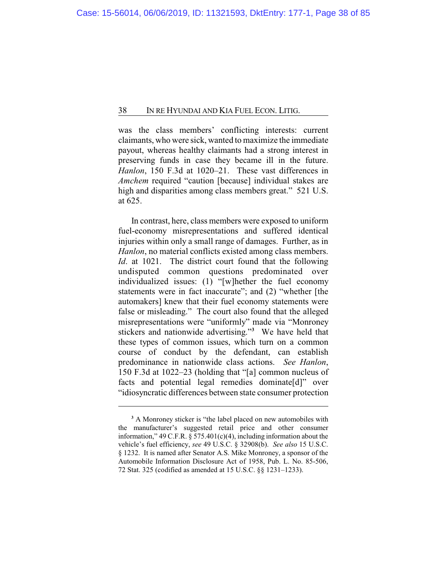was the class members' conflicting interests: current claimants, who were sick, wanted to maximize the immediate payout, whereas healthy claimants had a strong interest in preserving funds in case they became ill in the future. *Hanlon*, 150 F.3d at 1020–21. These vast differences in *Amchem* required "caution [because] individual stakes are high and disparities among class members great." 521 U.S. at 625.

In contrast, here, class members were exposed to uniform fuel-economy misrepresentations and suffered identical injuries within only a small range of damages. Further, as in *Hanlon*, no material conflicts existed among class members. *Id*. at 1021. The district court found that the following undisputed common questions predominated over individualized issues: (1) "[w]hether the fuel economy statements were in fact inaccurate"; and (2) "whether [the automakers] knew that their fuel economy statements were false or misleading." The court also found that the alleged misrepresentations were "uniformly" made via "Monroney stickers and nationwide advertising." **<sup>3</sup>** We have held that these types of common issues, which turn on a common course of conduct by the defendant, can establish predominance in nationwide class actions. *See Hanlon*, 150 F.3d at 1022–23 (holding that "[a] common nucleus of facts and potential legal remedies dominate<sup>[d]"</sup> over "idiosyncratic differences between state consumer protection

**<sup>3</sup>** A Monroney sticker is "the label placed on new automobiles with the manufacturer's suggested retail price and other consumer information," 49 C.F.R.  $\S 575.401(c)(4)$ , including information about the vehicle's fuel efficiency, *see* 49 U.S.C. § 32908(b). *See also* 15 U.S.C. § 1232. It is named after Senator A.S. Mike Monroney, a sponsor of the Automobile Information Disclosure Act of 1958, Pub. L. No. 85-506, 72 Stat. 325 (codified as amended at 15 U.S.C. §§ 1231–1233).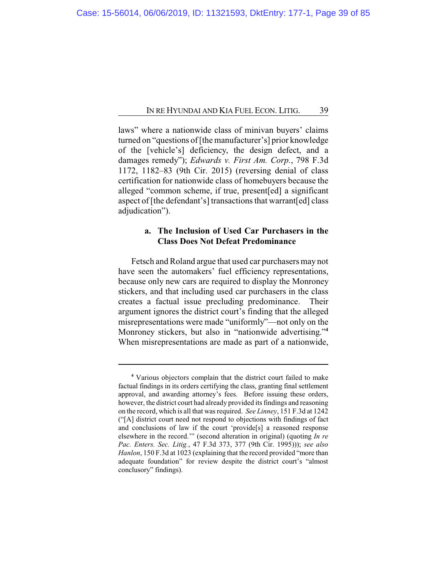laws" where a nationwide class of minivan buyers' claims turned on "questions of [the manufacturer's] prior knowledge of the [vehicle's] deficiency, the design defect, and a damages remedy"); *Edwards v. First Am. Corp.*, 798 F.3d 1172, 1182–83 (9th Cir. 2015) (reversing denial of class certification for nationwide class of homebuyers because the alleged "common scheme, if true, present[ed] a significant aspect of [the defendant's] transactions that warrant[ed] class adjudication").

## **a. The Inclusion of Used Car Purchasers in the Class Does Not Defeat Predominance**

Fetsch and Roland argue that used car purchasers may not have seen the automakers' fuel efficiency representations, because only new cars are required to display the Monroney stickers, and that including used car purchasers in the class creates a factual issue precluding predominance. Their argument ignores the district court's finding that the alleged misrepresentations were made "uniformly"—not only on the Monroney stickers, but also in "nationwide advertising."**<sup>4</sup>** When misrepresentations are made as part of a nationwide,

**<sup>4</sup>** Various objectors complain that the district court failed to make factual findings in its orders certifying the class, granting final settlement approval, and awarding attorney's fees. Before issuing these orders, however, the district court had already provided its findings and reasoning on the record, which is all that was required. *See Linney*, 151 F.3d at 1242 ("[A] district court need not respond to objections with findings of fact and conclusions of law if the court 'provide[s] a reasoned response elsewhere in the record.'" (second alteration in original) (quoting *In re Pac. Enters. Sec. Litig.*, 47 F.3d 373, 377 (9th Cir. 1995))); *see also Hanlon*, 150 F.3d at 1023 (explaining that the record provided "more than adequate foundation" for review despite the district court's "almost conclusory" findings).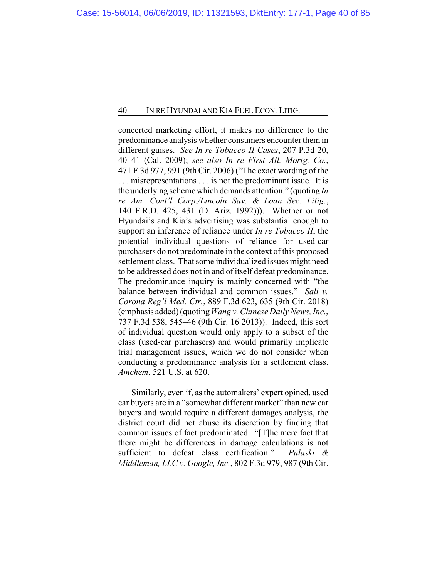concerted marketing effort, it makes no difference to the predominance analysis whether consumers encounter them in different guises. *See In re Tobacco II Cases*, 207 P.3d 20, 40–41 (Cal. 2009); *see also In re First All. Mortg. Co.*, 471 F.3d 977, 991 (9th Cir. 2006) ("The exact wording of the . . . misrepresentations . . . is not the predominant issue. It is the underlying scheme which demands attention." (quoting *In re Am. Cont'l Corp./Lincoln Sav. & Loan Sec. Litig.*, 140 F.R.D. 425, 431 (D. Ariz. 1992))). Whether or not Hyundai's and Kia's advertising was substantial enough to support an inference of reliance under *In re Tobacco II*, the potential individual questions of reliance for used-car purchasers do not predominate in the context of this proposed settlement class. That some individualized issues might need to be addressed does not in and of itself defeat predominance. The predominance inquiry is mainly concerned with "the balance between individual and common issues." *Sali v. Corona Reg'l Med. Ctr.*, 889 F.3d 623, 635 (9th Cir. 2018) (emphasis added) (quoting*Wang v. Chinese Daily News, Inc.*, 737 F.3d 538, 545–46 (9th Cir. 16 2013)). Indeed, this sort of individual question would only apply to a subset of the class (used-car purchasers) and would primarily implicate trial management issues, which we do not consider when conducting a predominance analysis for a settlement class. *Amchem*, 521 U.S. at 620.

Similarly, even if, as the automakers' expert opined, used car buyers are in a "somewhat different market" than new car buyers and would require a different damages analysis, the district court did not abuse its discretion by finding that common issues of fact predominated. "[T]he mere fact that there might be differences in damage calculations is not sufficient to defeat class certification." *Pulaski & Middleman, LLC v. Google, Inc.*, 802 F.3d 979, 987 (9th Cir.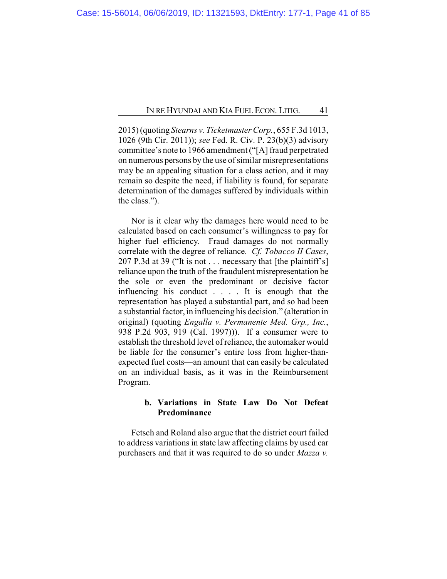2015) (quoting *Stearns v. Ticketmaster Corp.*, 655 F.3d 1013, 1026 (9th Cir. 2011)); *see* Fed. R. Civ. P. 23(b)(3) advisory committee's note to 1966 amendment ("[A] fraud perpetrated on numerous persons by the use of similar misrepresentations may be an appealing situation for a class action, and it may remain so despite the need, if liability is found, for separate determination of the damages suffered by individuals within the class.").

Nor is it clear why the damages here would need to be calculated based on each consumer's willingness to pay for higher fuel efficiency. Fraud damages do not normally correlate with the degree of reliance. *Cf. Tobacco II Cases*, 207 P.3d at 39 ("It is not . . . necessary that [the plaintiff's] reliance upon the truth of the fraudulent misrepresentation be the sole or even the predominant or decisive factor influencing his conduct . . . . It is enough that the representation has played a substantial part, and so had been a substantial factor, in influencing his decision." (alteration in original) (quoting *Engalla v. Permanente Med. Grp., Inc.*, 938 P.2d 903, 919 (Cal. 1997))). If a consumer were to establish the threshold level of reliance, the automaker would be liable for the consumer's entire loss from higher-thanexpected fuel costs—an amount that can easily be calculated on an individual basis, as it was in the Reimbursement Program.

# **b. Variations in State Law Do Not Defeat Predominance**

Fetsch and Roland also argue that the district court failed to address variations in state law affecting claims by used car purchasers and that it was required to do so under *Mazza v.*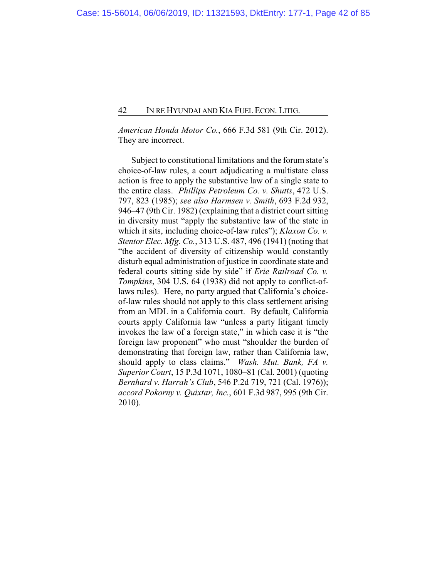*American Honda Motor Co.*, 666 F.3d 581 (9th Cir. 2012). They are incorrect.

Subject to constitutional limitations and the forum state's choice-of-law rules, a court adjudicating a multistate class action is free to apply the substantive law of a single state to the entire class. *Phillips Petroleum Co. v. Shutts*, 472 U.S. 797, 823 (1985); *see also Harmsen v. Smith*, 693 F.2d 932, 946–47 (9th Cir. 1982) (explaining that a district court sitting in diversity must "apply the substantive law of the state in which it sits, including choice-of-law rules"); *Klaxon Co. v. Stentor Elec. Mfg. Co.*, 313 U.S. 487, 496 (1941) (noting that "the accident of diversity of citizenship would constantly disturb equal administration of justice in coordinate state and federal courts sitting side by side" if *Erie Railroad Co. v. Tompkins*, 304 U.S. 64 (1938) did not apply to conflict-oflaws rules). Here, no party argued that California's choiceof-law rules should not apply to this class settlement arising from an MDL in a California court. By default, California courts apply California law "unless a party litigant timely invokes the law of a foreign state," in which case it is "the foreign law proponent" who must "shoulder the burden of demonstrating that foreign law, rather than California law, should apply to class claims." *Wash. Mut. Bank, FA v. Superior Court*, 15 P.3d 1071, 1080–81 (Cal. 2001) (quoting *Bernhard v. Harrah's Club*, 546 P.2d 719, 721 (Cal. 1976)); *accord Pokorny v. Quixtar, Inc.*, 601 F.3d 987, 995 (9th Cir. 2010).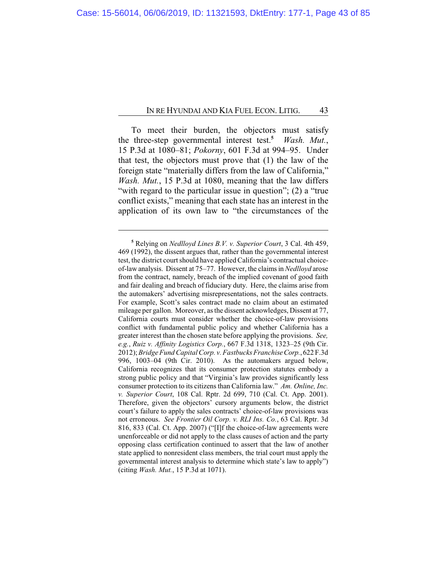To meet their burden, the objectors must satisfy the three-step governmental interest test.**<sup>5</sup>** *Wash. Mut.*, 15 P.3d at 1080–81; *Pokorny*, 601 F.3d at 994–95. Under that test, the objectors must prove that (1) the law of the foreign state "materially differs from the law of California," *Wash. Mut.*, 15 P.3d at 1080, meaning that the law differs "with regard to the particular issue in question"; (2) a "true" conflict exists," meaning that each state has an interest in the application of its own law to "the circumstances of the

**<sup>5</sup>** Relying on *Nedlloyd Lines B.V. v. Superior Court*, 3 Cal. 4th 459, 469 (1992), the dissent argues that, rather than the governmental interest test, the district court should have applied California's contractual choiceof-law analysis. Dissent at 75–77. However, the claims in *Nedlloyd* arose from the contract, namely, breach of the implied covenant of good faith and fair dealing and breach of fiduciary duty. Here, the claims arise from the automakers' advertising misrepresentations, not the sales contracts. For example, Scott's sales contract made no claim about an estimated mileage per gallon. Moreover, as the dissent acknowledges, Dissent at 77, California courts must consider whether the choice-of-law provisions conflict with fundamental public policy and whether California has a greater interest than the chosen state before applying the provisions. *See, e.g.*, *Ruiz v. Affinity Logistics Corp.*, 667 F.3d 1318, 1323–25 (9th Cir. 2012); *Bridge FundCapital Corp. v. Fastbucks FranchiseCorp.*, 622 F.3d 996, 1003–04 (9th Cir. 2010). As the automakers argued below, California recognizes that its consumer protection statutes embody a strong public policy and that "Virginia's law provides significantly less consumer protection to its citizens than California law." *Am. Online, Inc. v. Superior Court*, 108 Cal. Rptr. 2d 699, 710 (Cal. Ct. App. 2001). Therefore, given the objectors' cursory arguments below, the district court's failure to apply the sales contracts' choice-of-law provisions was not erroneous. *See Frontier Oil Corp. v. RLI Ins. Co.*, 63 Cal. Rptr. 3d 816, 833 (Cal. Ct. App. 2007) ("[I]f the choice-of-law agreements were unenforceable or did not apply to the class causes of action and the party opposing class certification continued to assert that the law of another state applied to nonresident class members, the trial court must apply the governmental interest analysis to determine which state's law to apply") (citing *Wash. Mut.*, 15 P.3d at 1071).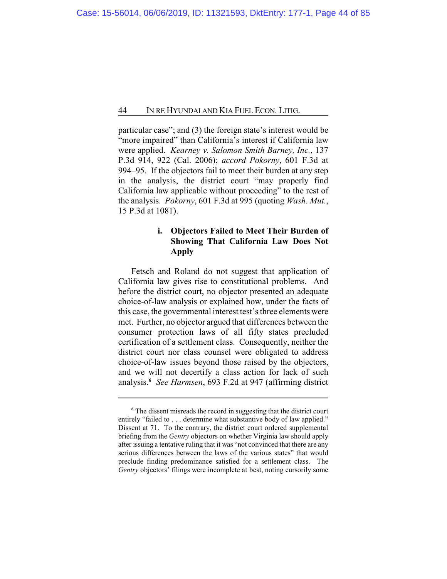particular case"; and (3) the foreign state's interest would be "more impaired" than California's interest if California law were applied. *Kearney v. Salomon Smith Barney, Inc.*, 137 P.3d 914, 922 (Cal. 2006); *accord Pokorny*, 601 F.3d at 994–95. If the objectors fail to meet their burden at any step in the analysis, the district court "may properly find California law applicable without proceeding" to the rest of the analysis. *Pokorny*, 601 F.3d at 995 (quoting *Wash. Mut.*, 15 P.3d at 1081).

# **i. Objectors Failed to Meet Their Burden of Showing That California Law Does Not Apply**

Fetsch and Roland do not suggest that application of California law gives rise to constitutional problems. And before the district court, no objector presented an adequate choice-of-law analysis or explained how, under the facts of this case, the governmental interest test's three elements were met. Further, no objector argued that differences between the consumer protection laws of all fifty states precluded certification of a settlement class. Consequently, neither the district court nor class counsel were obligated to address choice-of-law issues beyond those raised by the objectors, and we will not decertify a class action for lack of such analysis.**<sup>6</sup>** *See Harmsen*, 693 F.2d at 947 (affirming district

**<sup>6</sup>** The dissent misreads the record in suggesting that the district court entirely "failed to . . . determine what substantive body of law applied." Dissent at 71. To the contrary, the district court ordered supplemental briefing from the *Gentry* objectors on whether Virginia law should apply after issuing a tentative ruling that it was "not convinced that there are any serious differences between the laws of the various states" that would preclude finding predominance satisfied for a settlement class. The *Gentry* objectors' filings were incomplete at best, noting cursorily some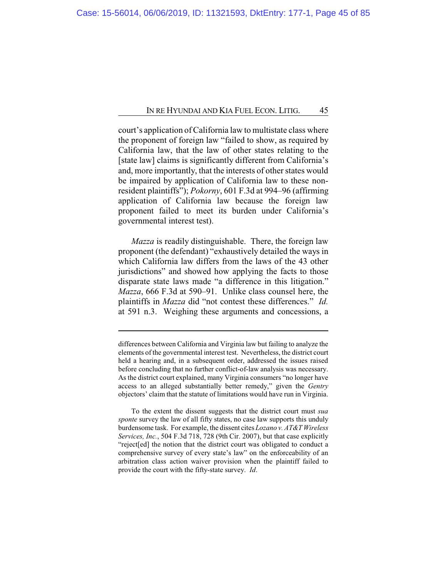court's application of California law to multistate class where the proponent of foreign law "failed to show, as required by California law, that the law of other states relating to the [state law] claims is significantly different from California's and, more importantly, that the interests of other states would be impaired by application of California law to these nonresident plaintiffs"); *Pokorny*, 601 F.3d at 994–96 (affirming application of California law because the foreign law proponent failed to meet its burden under California's governmental interest test).

*Mazza* is readily distinguishable. There, the foreign law proponent (the defendant) "exhaustively detailed the ways in which California law differs from the laws of the 43 other jurisdictions" and showed how applying the facts to those disparate state laws made "a difference in this litigation." *Mazza*, 666 F.3d at 590–91. Unlike class counsel here, the plaintiffs in *Mazza* did "not contest these differences." *Id.* at 591 n.3. Weighing these arguments and concessions, a

differences between California and Virginia law but failing to analyze the elements of the governmental interest test. Nevertheless, the district court held a hearing and, in a subsequent order, addressed the issues raised before concluding that no further conflict-of-law analysis was necessary. As the district court explained, many Virginia consumers "no longer have access to an alleged substantially better remedy," given the *Gentry* objectors' claim that the statute of limitations would have run in Virginia.

To the extent the dissent suggests that the district court must *sua sponte* survey the law of all fifty states, no case law supports this unduly burdensome task. For example, the dissent cites *Lozano v. AT&T Wireless Services, Inc.*, 504 F.3d 718, 728 (9th Cir. 2007), but that case explicitly "reject[ed] the notion that the district court was obligated to conduct a comprehensive survey of every state's law" on the enforceability of an arbitration class action waiver provision when the plaintiff failed to provide the court with the fifty-state survey. *Id*.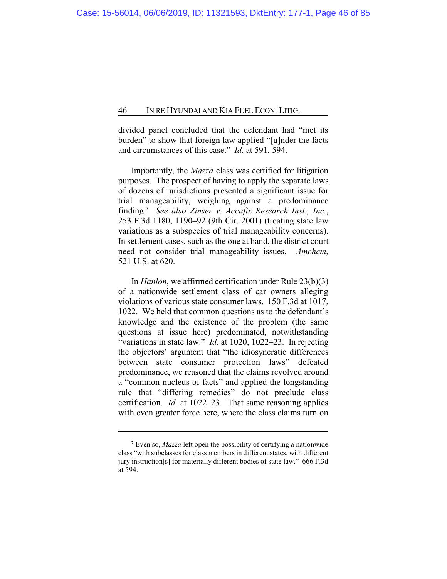divided panel concluded that the defendant had "met its burden" to show that foreign law applied "[u]nder the facts and circumstances of this case." *Id.* at 591, 594.

Importantly, the *Mazza* class was certified for litigation purposes. The prospect of having to apply the separate laws of dozens of jurisdictions presented a significant issue for trial manageability, weighing against a predominance finding. **7** *See also Zinser v. Accufix Research Inst., Inc.*, 253 F.3d 1180, 1190–92 (9th Cir. 2001) (treating state law variations as a subspecies of trial manageability concerns). In settlement cases, such as the one at hand, the district court need not consider trial manageability issues. *Amchem*, 521 U.S. at 620.

In *Hanlon*, we affirmed certification under Rule 23(b)(3) of a nationwide settlement class of car owners alleging violations of various state consumer laws. 150 F.3d at 1017, 1022. We held that common questions as to the defendant's knowledge and the existence of the problem (the same questions at issue here) predominated, notwithstanding "variations in state law." *Id.* at 1020, 1022–23. In rejecting the objectors' argument that "the idiosyncratic differences between state consumer protection laws" defeated predominance, we reasoned that the claims revolved around a "common nucleus of facts" and applied the longstanding rule that "differing remedies" do not preclude class certification. *Id.* at 1022–23. That same reasoning applies with even greater force here, where the class claims turn on

**<sup>7</sup>** Even so, *Mazza* left open the possibility of certifying a nationwide class "with subclasses for class members in different states, with different jury instruction[s] for materially different bodies of state law." 666 F.3d at 594.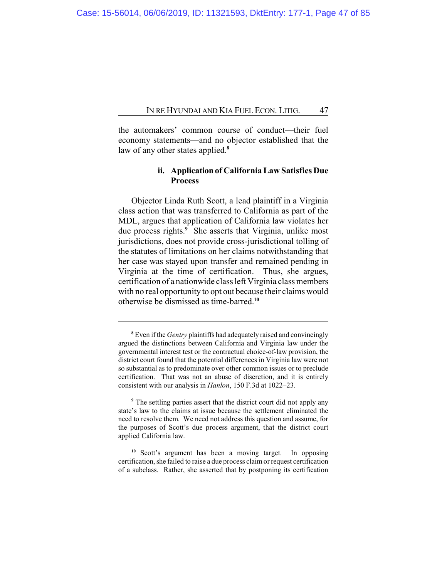the automakers' common course of conduct—their fuel economy statements—and no objector established that the law of any other states applied.**<sup>8</sup>**

# **ii. Application of California Law Satisfies Due Process**

Objector Linda Ruth Scott, a lead plaintiff in a Virginia class action that was transferred to California as part of the MDL, argues that application of California law violates her due process rights.**<sup>9</sup>** She asserts that Virginia, unlike most jurisdictions, does not provide cross-jurisdictional tolling of the statutes of limitations on her claims notwithstanding that her case was stayed upon transfer and remained pending in Virginia at the time of certification. Thus, she argues, certification of a nationwide class left Virginia class members with no real opportunity to opt out because their claims would otherwise be dismissed as time-barred.**<sup>10</sup>**

**<sup>8</sup>** Even if the *Gentry* plaintiffs had adequately raised and convincingly argued the distinctions between California and Virginia law under the governmental interest test or the contractual choice-of-law provision, the district court found that the potential differences in Virginia law were not so substantial as to predominate over other common issues or to preclude certification. That was not an abuse of discretion, and it is entirely consistent with our analysis in *Hanlon*, 150 F.3d at 1022–23.

**<sup>9</sup>** The settling parties assert that the district court did not apply any state's law to the claims at issue because the settlement eliminated the need to resolve them. We need not address this question and assume, for the purposes of Scott's due process argument, that the district court applied California law.

**<sup>10</sup>** Scott's argument has been a moving target. In opposing certification, she failed to raise a due process claimor request certification of a subclass. Rather, she asserted that by postponing its certification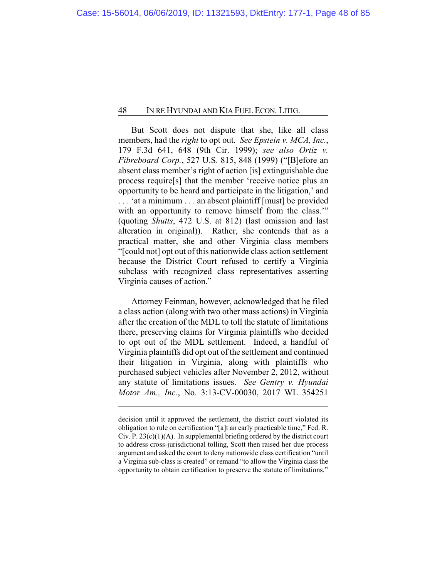But Scott does not dispute that she, like all class members, had the *right* to opt out. *See Epstein v. MCA, Inc.*, 179 F.3d 641, 648 (9th Cir. 1999); *see also Ortiz v. Fibreboard Corp.*, 527 U.S. 815, 848 (1999) ("[B]efore an absent class member's right of action [is] extinguishable due process require[s] that the member 'receive notice plus an opportunity to be heard and participate in the litigation,' and . . . 'at a minimum . . . an absent plaintiff [must] be provided with an opportunity to remove himself from the class." (quoting *Shutts*, 472 U.S. at 812) (last omission and last alteration in original)). Rather, she contends that as a practical matter, she and other Virginia class members "[could not] opt out ofthis nationwide class action settlement because the District Court refused to certify a Virginia subclass with recognized class representatives asserting Virginia causes of action."

Attorney Feinman, however, acknowledged that he filed a class action (along with two other mass actions) in Virginia after the creation of the MDL to toll the statute of limitations there, preserving claims for Virginia plaintiffs who decided to opt out of the MDL settlement. Indeed, a handful of Virginia plaintiffs did opt out of the settlement and continued their litigation in Virginia, along with plaintiffs who purchased subject vehicles after November 2, 2012, without any statute of limitations issues. *See Gentry v. Hyundai Motor Am., Inc.*, No. 3:13-CV-00030, 2017 WL 354251

decision until it approved the settlement, the district court violated its obligation to rule on certification "[a]t an early practicable time," Fed. R. Civ. P.  $23(c)(1)(A)$ . In supplemental briefing ordered by the district court to address cross-jurisdictional tolling, Scott then raised her due process argument and asked the court to deny nationwide class certification "until a Virginia sub-class is created" or remand "to allow the Virginia class the opportunity to obtain certification to preserve the statute of limitations."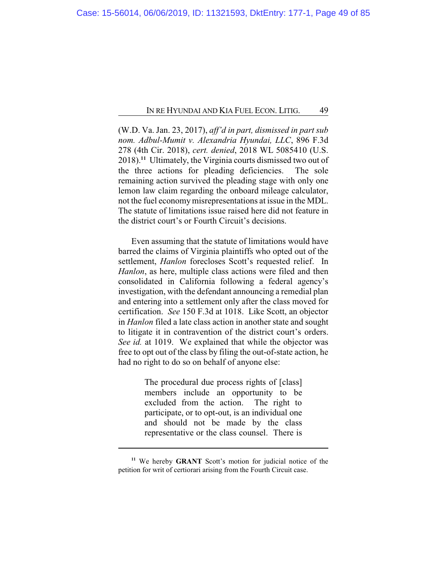(W.D. Va. Jan. 23, 2017), *aff'd in part, dismissed in part sub nom. Adbul-Mumit v. Alexandria Hyundai, LLC*, 896 F.3d 278 (4th Cir. 2018), *cert. denied*, 2018 WL 5085410 (U.S. 2018).**<sup>11</sup>** Ultimately, the Virginia courts dismissed two out of the three actions for pleading deficiencies. The sole remaining action survived the pleading stage with only one lemon law claim regarding the onboard mileage calculator, not the fuel economymisrepresentations at issue in the MDL. The statute of limitations issue raised here did not feature in the district court's or Fourth Circuit's decisions.

Even assuming that the statute of limitations would have barred the claims of Virginia plaintiffs who opted out of the settlement, *Hanlon* forecloses Scott's requested relief. In *Hanlon*, as here, multiple class actions were filed and then consolidated in California following a federal agency's investigation, with the defendant announcing a remedial plan and entering into a settlement only after the class moved for certification. *See* 150 F.3d at 1018. Like Scott, an objector in *Hanlon* filed a late class action in another state and sought to litigate it in contravention of the district court's orders. *See id.* at 1019. We explained that while the objector was free to opt out of the class by filing the out-of-state action, he had no right to do so on behalf of anyone else:

> The procedural due process rights of [class] members include an opportunity to be excluded from the action. The right to participate, or to opt-out, is an individual one and should not be made by the class representative or the class counsel. There is

**<sup>11</sup>** We hereby **GRANT** Scott's motion for judicial notice of the petition for writ of certiorari arising from the Fourth Circuit case.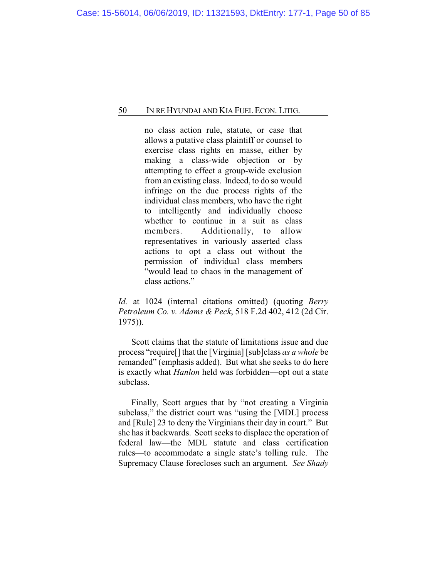no class action rule, statute, or case that allows a putative class plaintiff or counsel to exercise class rights en masse, either by making a class-wide objection or by attempting to effect a group-wide exclusion from an existing class. Indeed, to do so would infringe on the due process rights of the individual class members, who have the right to intelligently and individually choose whether to continue in a suit as class members. Additionally, to allow representatives in variously asserted class actions to opt a class out without the permission of individual class members "would lead to chaos in the management of class actions."

*Id.* at 1024 (internal citations omitted) (quoting *Berry Petroleum Co. v. Adams & Peck*, 518 F.2d 402, 412 (2d Cir. 1975)).

Scott claims that the statute of limitations issue and due process "require[] that the [Virginia] [sub]class *as a whole* be remanded" (emphasis added). But what she seeks to do here is exactly what *Hanlon* held was forbidden—opt out a state subclass.

Finally, Scott argues that by "not creating a Virginia subclass," the district court was "using the [MDL] process and [Rule] 23 to deny the Virginians their day in court." But she has it backwards. Scott seeks to displace the operation of federal law—the MDL statute and class certification rules—to accommodate a single state's tolling rule. The Supremacy Clause forecloses such an argument. *See Shady*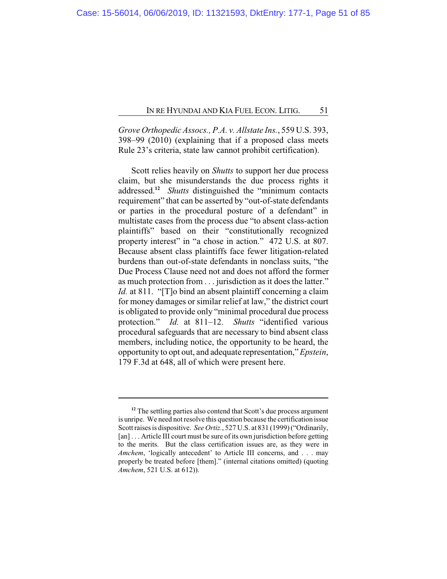*Grove Orthopedic Assocs., P.A. v. Allstate Ins.*, 559 U.S. 393, 398–99 (2010) (explaining that if a proposed class meets Rule 23's criteria, state law cannot prohibit certification).

Scott relies heavily on *Shutts* to support her due process claim, but she misunderstands the due process rights it addressed.**<sup>12</sup>** *Shutts* distinguished the "minimum contacts requirement" that can be asserted by "out-of-state defendants or parties in the procedural posture of a defendant" in multistate cases from the process due "to absent class-action plaintiffs" based on their "constitutionally recognized property interest" in "a chose in action." 472 U.S. at 807. Because absent class plaintiffs face fewer litigation-related burdens than out-of-state defendants in nonclass suits, "the Due Process Clause need not and does not afford the former as much protection from . . . jurisdiction as it does the latter." *Id.* at 811. "[T]o bind an absent plaintiff concerning a claim for money damages or similar relief at law," the district court is obligated to provide only "minimal procedural due process protection." *Id.* at 811–12. *Shutts* "identified various procedural safeguards that are necessary to bind absent class members, including notice, the opportunity to be heard, the opportunity to opt out, and adequate representation," *Epstein*, 179 F.3d at 648, all of which were present here.

<sup>&</sup>lt;sup>12</sup> The settling parties also contend that Scott's due process argument is unripe. We need not resolve this question because the certification issue Scott raises is dispositive. *See Ortiz.*, 527 U.S. at 831 (1999) ("Ordinarily, [an] ... Article III court must be sure of its own jurisdiction before getting to the merits. But the class certification issues are, as they were in *Amchem*, 'logically antecedent' to Article III concerns, and . . . may properly be treated before [them]." (internal citations omitted) (quoting *Amchem*, 521 U.S. at 612)).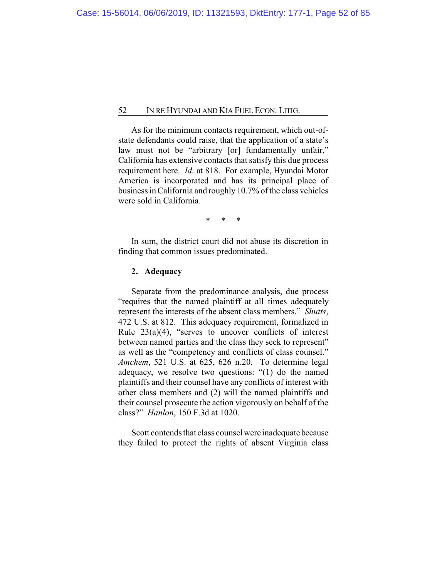As for the minimum contacts requirement, which out-ofstate defendants could raise, that the application of a state's law must not be "arbitrary [or] fundamentally unfair," California has extensive contacts that satisfy this due process requirement here. *Id.* at 818. For example, Hyundai Motor America is incorporated and has its principal place of business in California and roughly 10.7% of the class vehicles were sold in California.

\* \* \*

In sum, the district court did not abuse its discretion in finding that common issues predominated.

## **2. Adequacy**

Separate from the predominance analysis, due process "requires that the named plaintiff at all times adequately represent the interests of the absent class members." *Shutts*, 472 U.S. at 812. This adequacy requirement, formalized in Rule  $23(a)(4)$ , "serves to uncover conflicts of interest between named parties and the class they seek to represent" as well as the "competency and conflicts of class counsel." *Amchem*, 521 U.S. at 625, 626 n.20. To determine legal adequacy, we resolve two questions: "(1) do the named plaintiffs and their counsel have any conflicts of interest with other class members and (2) will the named plaintiffs and their counsel prosecute the action vigorously on behalf of the class?" *Hanlon*, 150 F.3d at 1020.

Scott contends that class counsel were inadequate because they failed to protect the rights of absent Virginia class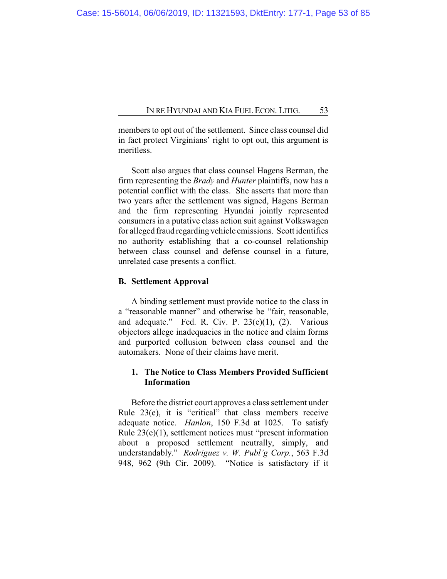members to opt out of the settlement. Since class counsel did in fact protect Virginians' right to opt out, this argument is meritless.

Scott also argues that class counsel Hagens Berman, the firm representing the *Brady* and *Hunter* plaintiffs, now has a potential conflict with the class. She asserts that more than two years after the settlement was signed, Hagens Berman and the firm representing Hyundai jointly represented consumers in a putative class action suit against Volkswagen for alleged fraud regarding vehicle emissions. Scott identifies no authority establishing that a co-counsel relationship between class counsel and defense counsel in a future, unrelated case presents a conflict.

## **B. Settlement Approval**

A binding settlement must provide notice to the class in a "reasonable manner" and otherwise be "fair, reasonable, and adequate." Fed. R. Civ. P.  $23(e)(1)$ ,  $(2)$ . Various objectors allege inadequacies in the notice and claim forms and purported collusion between class counsel and the automakers. None of their claims have merit.

# **1. The Notice to Class Members Provided Sufficient Information**

Before the district court approves a class settlement under Rule 23(e), it is "critical" that class members receive adequate notice. *Hanlon*, 150 F.3d at 1025. To satisfy Rule 23(e)(1), settlement notices must "present information about a proposed settlement neutrally, simply, and understandably." *Rodriguez v. W. Publ'g Corp.*, 563 F.3d 948, 962 (9th Cir. 2009). "Notice is satisfactory if it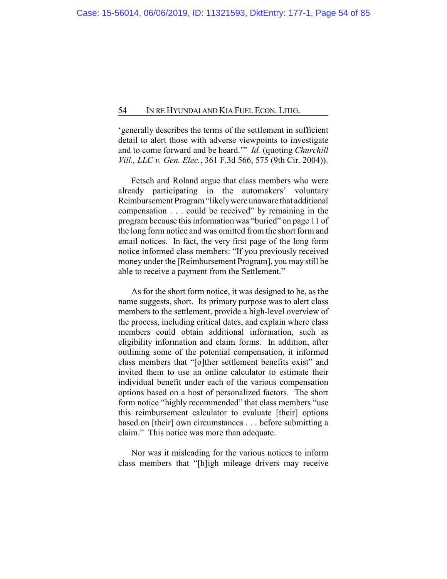'generally describes the terms of the settlement in sufficient detail to alert those with adverse viewpoints to investigate and to come forward and be heard.'" *Id.* (quoting *Churchill Vill., LLC v. Gen. Elec.*, 361 F.3d 566, 575 (9th Cir. 2004)).

Fetsch and Roland argue that class members who were already participating in the automakers' voluntary Reimbursement Program "likelywere unaware that additional compensation . . . could be received" by remaining in the program because this information was "buried" on page 11 of the long form notice and was omitted from the short form and email notices. In fact, the very first page of the long form notice informed class members: "If you previously received money under the [Reimbursement Program], you may still be able to receive a payment from the Settlement."

As for the short form notice, it was designed to be, as the name suggests, short. Its primary purpose was to alert class members to the settlement, provide a high-level overview of the process, including critical dates, and explain where class members could obtain additional information, such as eligibility information and claim forms. In addition, after outlining some of the potential compensation, it informed class members that "[o]ther settlement benefits exist" and invited them to use an online calculator to estimate their individual benefit under each of the various compensation options based on a host of personalized factors. The short form notice "highly recommended" that class members "use this reimbursement calculator to evaluate [their] options based on [their] own circumstances . . . before submitting a claim." This notice was more than adequate.

Nor was it misleading for the various notices to inform class members that "[h]igh mileage drivers may receive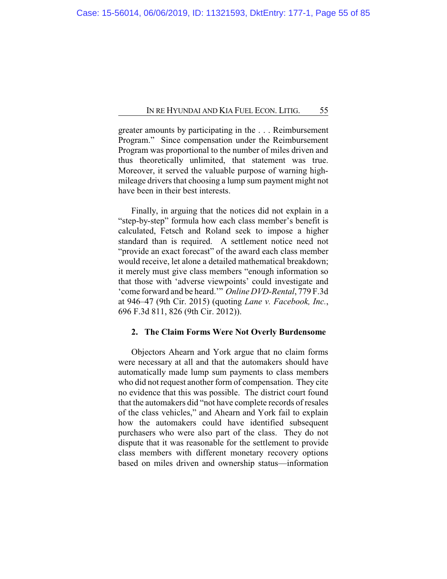greater amounts by participating in the . . . Reimbursement Program." Since compensation under the Reimbursement Program was proportional to the number of miles driven and thus theoretically unlimited, that statement was true. Moreover, it served the valuable purpose of warning highmileage drivers that choosing a lump sum payment might not have been in their best interests.

Finally, in arguing that the notices did not explain in a "step-by-step" formula how each class member's benefit is calculated, Fetsch and Roland seek to impose a higher standard than is required. A settlement notice need not "provide an exact forecast" of the award each class member would receive, let alone a detailed mathematical breakdown; it merely must give class members "enough information so that those with 'adverse viewpoints' could investigate and 'come forward and be heard.'" *Online DVD-Rental*, 779 F.3d at 946–47 (9th Cir. 2015) (quoting *Lane v. Facebook, Inc.*, 696 F.3d 811, 826 (9th Cir. 2012)).

## **2. The Claim Forms Were Not Overly Burdensome**

Objectors Ahearn and York argue that no claim forms were necessary at all and that the automakers should have automatically made lump sum payments to class members who did not request another form of compensation. They cite no evidence that this was possible. The district court found that the automakers did "not have complete records of resales of the class vehicles," and Ahearn and York fail to explain how the automakers could have identified subsequent purchasers who were also part of the class. They do not dispute that it was reasonable for the settlement to provide class members with different monetary recovery options based on miles driven and ownership status—information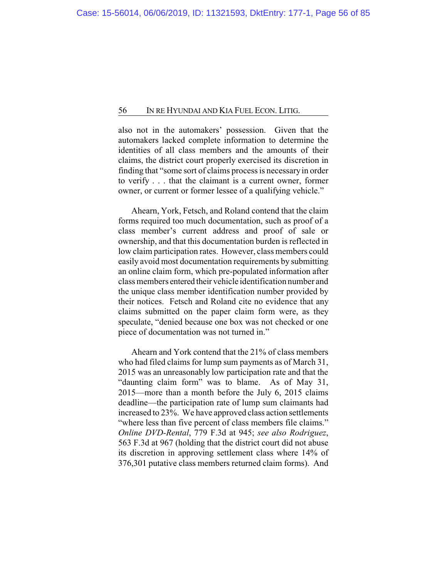also not in the automakers' possession. Given that the automakers lacked complete information to determine the identities of all class members and the amounts of their claims, the district court properly exercised its discretion in finding that "some sort of claims process is necessaryin order to verify . . . that the claimant is a current owner, former owner, or current or former lessee of a qualifying vehicle."

Ahearn, York, Fetsch, and Roland contend that the claim forms required too much documentation, such as proof of a class member's current address and proof of sale or ownership, and that this documentation burden is reflected in low claim participation rates. However, class members could easily avoid most documentation requirements by submitting an online claim form, which pre-populated information after class members entered their vehicle identification number and the unique class member identification number provided by their notices. Fetsch and Roland cite no evidence that any claims submitted on the paper claim form were, as they speculate, "denied because one box was not checked or one piece of documentation was not turned in."

Ahearn and York contend that the 21% of class members who had filed claims for lump sum payments as of March 31, 2015 was an unreasonably low participation rate and that the "daunting claim form" was to blame. As of May 31, 2015—more than a month before the July 6, 2015 claims deadline—the participation rate of lump sum claimants had increased to 23%. We have approved class action settlements "where less than five percent of class members file claims." *Online DVD-Rental*, 779 F.3d at 945; *see also Rodriguez*, 563 F.3d at 967 (holding that the district court did not abuse its discretion in approving settlement class where 14% of 376,301 putative class members returned claim forms). And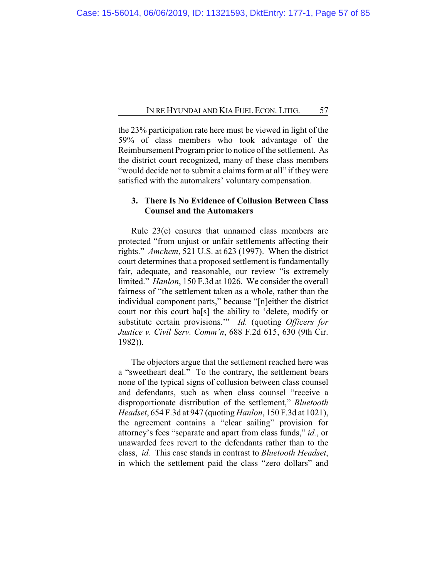the 23% participation rate here must be viewed in light of the 59% of class members who took advantage of the Reimbursement Program prior to notice of the settlement. As the district court recognized, many of these class members "would decide not to submit a claims form at all" if they were satisfied with the automakers' voluntary compensation.

# **3. There Is No Evidence of Collusion Between Class Counsel and the Automakers**

Rule 23(e) ensures that unnamed class members are protected "from unjust or unfair settlements affecting their rights." *Amchem*, 521 U.S. at 623 (1997). When the district court determines that a proposed settlement is fundamentally fair, adequate, and reasonable, our review "is extremely limited." *Hanlon*, 150 F.3d at 1026. We consider the overall fairness of "the settlement taken as a whole, rather than the individual component parts," because "[n]either the district court nor this court ha[s] the ability to 'delete, modify or substitute certain provisions.'" *Id.* (quoting *Officers for Justice v. Civil Serv. Comm'n*, 688 F.2d 615, 630 (9th Cir. 1982)).

The objectors argue that the settlement reached here was a "sweetheart deal." To the contrary, the settlement bears none of the typical signs of collusion between class counsel and defendants, such as when class counsel "receive a disproportionate distribution of the settlement," *Bluetooth Headset*, 654 F.3d at 947 (quoting *Hanlon*, 150 F.3d at 1021), the agreement contains a "clear sailing" provision for attorney's fees "separate and apart from class funds," *id.*, or unawarded fees revert to the defendants rather than to the class, *id.* This case stands in contrast to *Bluetooth Headset*, in which the settlement paid the class "zero dollars" and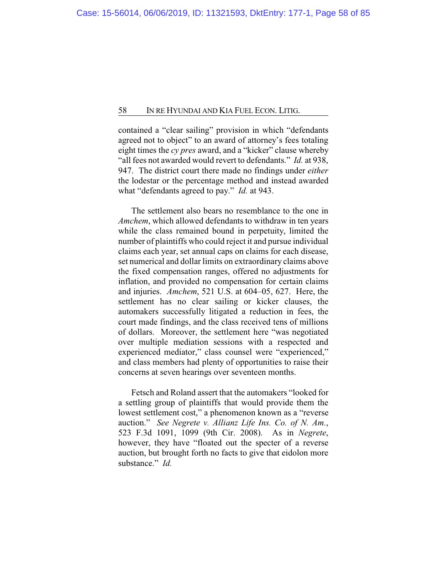contained a "clear sailing" provision in which "defendants agreed not to object" to an award of attorney's fees totaling eight times the *cy pres* award, and a "kicker" clause whereby "all fees not awarded would revert to defendants." *Id.* at 938, 947. The district court there made no findings under *either* the lodestar or the percentage method and instead awarded what "defendants agreed to pay." *Id.* at 943.

The settlement also bears no resemblance to the one in *Amchem*, which allowed defendants to withdraw in ten years while the class remained bound in perpetuity, limited the number of plaintiffs who could reject it and pursue individual claims each year, set annual caps on claims for each disease, set numerical and dollar limits on extraordinary claims above the fixed compensation ranges, offered no adjustments for inflation, and provided no compensation for certain claims and injuries. *Amchem*, 521 U.S. at 604–05, 627. Here, the settlement has no clear sailing or kicker clauses, the automakers successfully litigated a reduction in fees, the court made findings, and the class received tens of millions of dollars. Moreover, the settlement here "was negotiated over multiple mediation sessions with a respected and experienced mediator," class counsel were "experienced," and class members had plenty of opportunities to raise their concerns at seven hearings over seventeen months.

Fetsch and Roland assert that the automakers "looked for a settling group of plaintiffs that would provide them the lowest settlement cost," a phenomenon known as a "reverse auction." *See Negrete v. Allianz Life Ins. Co. of N. Am.*, 523 F.3d 1091, 1099 (9th Cir. 2008). As in *Negrete*, however, they have "floated out the specter of a reverse auction, but brought forth no facts to give that eidolon more substance." *Id.*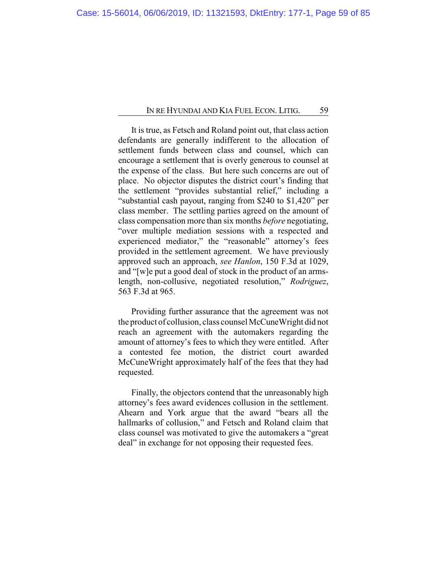It is true, as Fetsch and Roland point out, that class action defendants are generally indifferent to the allocation of settlement funds between class and counsel, which can encourage a settlement that is overly generous to counsel at the expense of the class. But here such concerns are out of place. No objector disputes the district court's finding that the settlement "provides substantial relief," including a "substantial cash payout, ranging from \$240 to \$1,420" per class member. The settling parties agreed on the amount of class compensation more than six months *before* negotiating, "over multiple mediation sessions with a respected and experienced mediator," the "reasonable" attorney's fees provided in the settlement agreement. We have previously approved such an approach, *see Hanlon*, 150 F.3d at 1029, and "[w]e put a good deal of stock in the product of an armslength, non-collusive, negotiated resolution," *Rodriguez*, 563 F.3d at 965.

Providing further assurance that the agreement was not the product of collusion, class counsel McCuneWright did not reach an agreement with the automakers regarding the amount of attorney's fees to which they were entitled. After a contested fee motion, the district court awarded McCuneWright approximately half of the fees that they had requested.

Finally, the objectors contend that the unreasonably high attorney's fees award evidences collusion in the settlement. Ahearn and York argue that the award "bears all the hallmarks of collusion," and Fetsch and Roland claim that class counsel was motivated to give the automakers a "great deal" in exchange for not opposing their requested fees.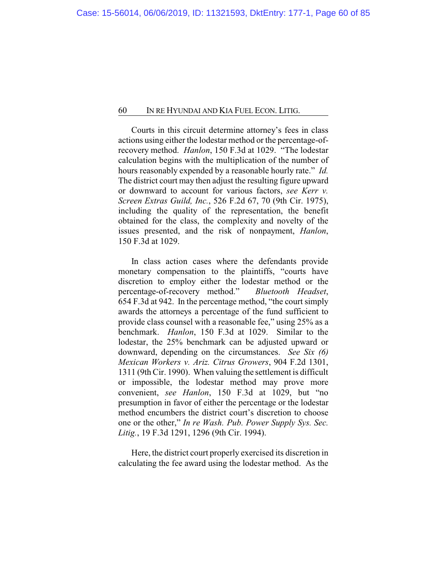Courts in this circuit determine attorney's fees in class actions using either the lodestar method or the percentage-ofrecovery method. *Hanlon*, 150 F.3d at 1029. "The lodestar calculation begins with the multiplication of the number of hours reasonably expended by a reasonable hourly rate." *Id.* The district court may then adjust the resulting figure upward or downward to account for various factors, *see Kerr v. Screen Extras Guild, Inc.*, 526 F.2d 67, 70 (9th Cir. 1975), including the quality of the representation, the benefit obtained for the class, the complexity and novelty of the issues presented, and the risk of nonpayment, *Hanlon*, 150 F.3d at 1029.

In class action cases where the defendants provide monetary compensation to the plaintiffs, "courts have discretion to employ either the lodestar method or the percentage-of-recovery method." *Bluetooth Headset*, 654 F.3d at 942. In the percentage method, "the court simply awards the attorneys a percentage of the fund sufficient to provide class counsel with a reasonable fee," using 25% as a benchmark. *Hanlon*, 150 F.3d at 1029. Similar to the lodestar, the 25% benchmark can be adjusted upward or downward, depending on the circumstances. *See Six (6) Mexican Workers v. Ariz. Citrus Growers*, 904 F.2d 1301, 1311 (9th Cir. 1990). When valuing the settlement is difficult or impossible, the lodestar method may prove more convenient, *see Hanlon*, 150 F.3d at 1029, but "no presumption in favor of either the percentage or the lodestar method encumbers the district court's discretion to choose one or the other," *In re Wash. Pub. Power Supply Sys. Sec. Litig.*, 19 F.3d 1291, 1296 (9th Cir. 1994).

Here, the district court properly exercised its discretion in calculating the fee award using the lodestar method. As the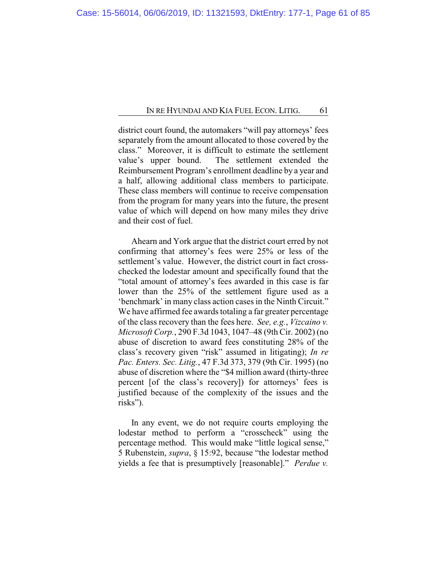district court found, the automakers "will pay attorneys' fees separately from the amount allocated to those covered by the class." Moreover, it is difficult to estimate the settlement value's upper bound. The settlement extended the Reimbursement Program's enrollment deadline by a year and a half, allowing additional class members to participate. These class members will continue to receive compensation from the program for many years into the future, the present value of which will depend on how many miles they drive and their cost of fuel.

Ahearn and York argue that the district court erred by not confirming that attorney's fees were 25% or less of the settlement's value. However, the district court in fact crosschecked the lodestar amount and specifically found that the "total amount of attorney's fees awarded in this case is far lower than the 25% of the settlement figure used as a 'benchmark' in many class action cases in the Ninth Circuit." We have affirmed fee awards totaling a far greater percentage of the class recovery than the fees here. *See, e.g.*, *Vizcaino v. Microsoft Corp.*, 290 F.3d 1043, 1047–48 (9th Cir. 2002) (no abuse of discretion to award fees constituting 28% of the class's recovery given "risk" assumed in litigating); *In re Pac. Enters. Sec. Litig.*, 47 F.3d 373, 379 (9th Cir. 1995) (no abuse of discretion where the "\$4 million award (thirty-three percent [of the class's recovery]) for attorneys' fees is justified because of the complexity of the issues and the risks").

In any event, we do not require courts employing the lodestar method to perform a "crosscheck" using the percentage method. This would make "little logical sense," 5 Rubenstein, *supra*, § 15:92, because "the lodestar method yields a fee that is presumptively [reasonable]." *Perdue v.*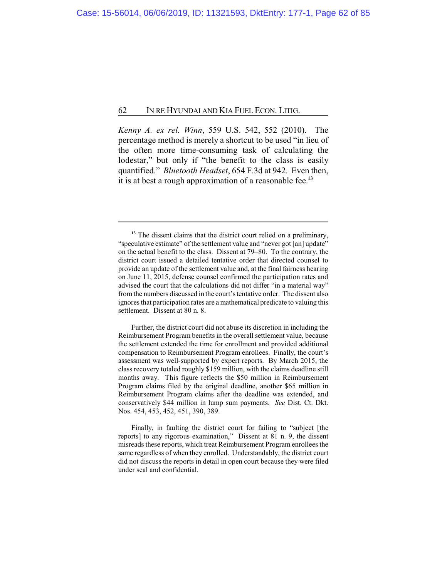*Kenny A. ex rel. Winn*, 559 U.S. 542, 552 (2010). The percentage method is merely a shortcut to be used "in lieu of the often more time-consuming task of calculating the lodestar," but only if "the benefit to the class is easily quantified." *Bluetooth Headset*, 654 F.3d at 942. Even then, it is at best a rough approximation of a reasonable fee.**<sup>13</sup>**

Further, the district court did not abuse its discretion in including the Reimbursement Program benefits in the overall settlement value, because the settlement extended the time for enrollment and provided additional compensation to Reimbursement Program enrollees. Finally, the court's assessment was well-supported by expert reports. By March 2015, the class recovery totaled roughly \$159 million, with the claims deadline still months away. This figure reflects the \$50 million in Reimbursement Program claims filed by the original deadline, another \$65 million in Reimbursement Program claims after the deadline was extended, and conservatively \$44 million in lump sum payments. *See* Dist. Ct. Dkt. Nos. 454, 453, 452, 451, 390, 389.

Finally, in faulting the district court for failing to "subject [the reports] to any rigorous examination," Dissent at 81 n. 9, the dissent misreads these reports, which treat Reimbursement Program enrollees the same regardless of when they enrolled. Understandably, the district court did not discuss the reports in detail in open court because they were filed under seal and confidential.

<sup>&</sup>lt;sup>13</sup> The dissent claims that the district court relied on a preliminary, "speculative estimate" of the settlement value and "never got [an] update" on the actual benefit to the class. Dissent at 79–80. To the contrary, the district court issued a detailed tentative order that directed counsel to provide an update of the settlement value and, at the final fairness hearing on June 11, 2015, defense counsel confirmed the participation rates and advised the court that the calculations did not differ "in a material way" fromthe numbers discussed in the court's tentative order. The dissent also ignores that participation rates are a mathematical predicate to valuing this settlement. Dissent at 80 n. 8.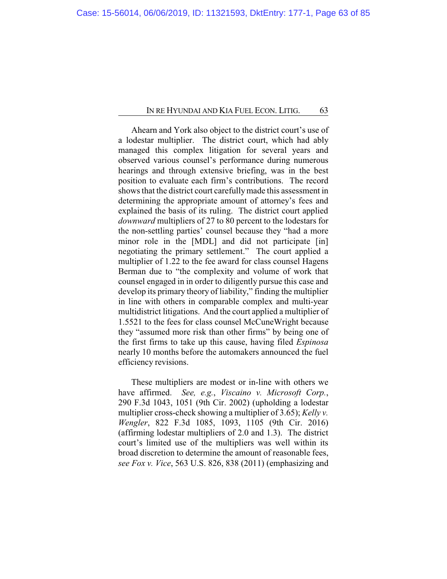Ahearn and York also object to the district court's use of a lodestar multiplier. The district court, which had ably managed this complex litigation for several years and observed various counsel's performance during numerous hearings and through extensive briefing, was in the best position to evaluate each firm's contributions. The record shows that the district court carefullymade this assessment in determining the appropriate amount of attorney's fees and explained the basis of its ruling. The district court applied *downward* multipliers of 27 to 80 percent to the lodestars for the non-settling parties' counsel because they "had a more minor role in the [MDL] and did not participate [in] negotiating the primary settlement." The court applied a multiplier of 1.22 to the fee award for class counsel Hagens Berman due to "the complexity and volume of work that counsel engaged in in order to diligently pursue this case and develop its primary theory of liability," finding the multiplier in line with others in comparable complex and multi-year multidistrict litigations. And the court applied a multiplier of 1.5521 to the fees for class counsel McCuneWright because they "assumed more risk than other firms" by being one of the first firms to take up this cause, having filed *Espinosa* nearly 10 months before the automakers announced the fuel efficiency revisions.

These multipliers are modest or in-line with others we have affirmed. *See, e.g.*, *Viscaino v. Microsoft Corp.*, 290 F.3d 1043, 1051 (9th Cir. 2002) (upholding a lodestar multiplier cross-check showing a multiplier of 3.65); *Kelly v. Wengler*, 822 F.3d 1085, 1093, 1105 (9th Cir. 2016) (affirming lodestar multipliers of 2.0 and 1.3). The district court's limited use of the multipliers was well within its broad discretion to determine the amount of reasonable fees, *see Fox v. Vice*, 563 U.S. 826, 838 (2011) (emphasizing and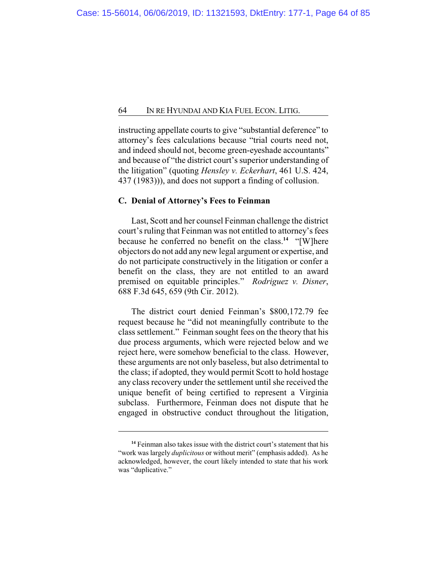instructing appellate courts to give "substantial deference" to attorney's fees calculations because "trial courts need not, and indeed should not, become green-eyeshade accountants" and because of "the district court's superior understanding of the litigation" (quoting *Hensley v. Eckerhart*, 461 U.S. 424, 437 (1983))), and does not support a finding of collusion.

## **C. Denial of Attorney's Fees to Feinman**

Last, Scott and her counsel Feinman challenge the district court's ruling that Feinman was not entitled to attorney's fees because he conferred no benefit on the class.**<sup>14</sup>** "[W]here objectors do not add any new legal argument or expertise, and do not participate constructively in the litigation or confer a benefit on the class, they are not entitled to an award premised on equitable principles." *Rodriguez v. Disner*, 688 F.3d 645, 659 (9th Cir. 2012).

The district court denied Feinman's \$800,172.79 fee request because he "did not meaningfully contribute to the class settlement." Feinman sought fees on the theory that his due process arguments, which were rejected below and we reject here, were somehow beneficial to the class. However, these arguments are not only baseless, but also detrimental to the class; if adopted, they would permit Scott to hold hostage any class recovery under the settlement until she received the unique benefit of being certified to represent a Virginia subclass. Furthermore, Feinman does not dispute that he engaged in obstructive conduct throughout the litigation,

**<sup>14</sup>** Feinman also takes issue with the district court's statement that his "work was largely *duplicitous* or without merit" (emphasis added). As he acknowledged, however, the court likely intended to state that his work was "duplicative."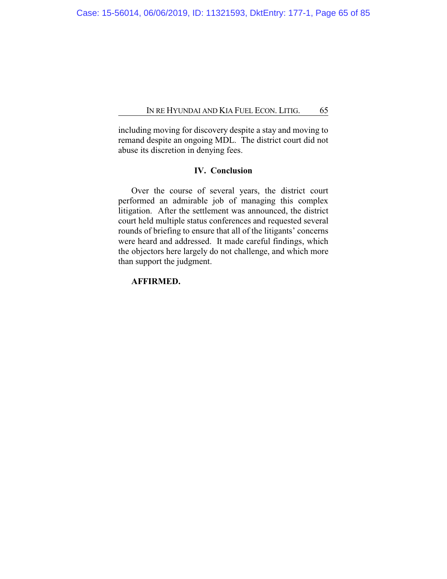including moving for discovery despite a stay and moving to remand despite an ongoing MDL. The district court did not abuse its discretion in denying fees.

# **IV. Conclusion**

Over the course of several years, the district court performed an admirable job of managing this complex litigation. After the settlement was announced, the district court held multiple status conferences and requested several rounds of briefing to ensure that all of the litigants' concerns were heard and addressed. It made careful findings, which the objectors here largely do not challenge, and which more than support the judgment.

# **AFFIRMED.**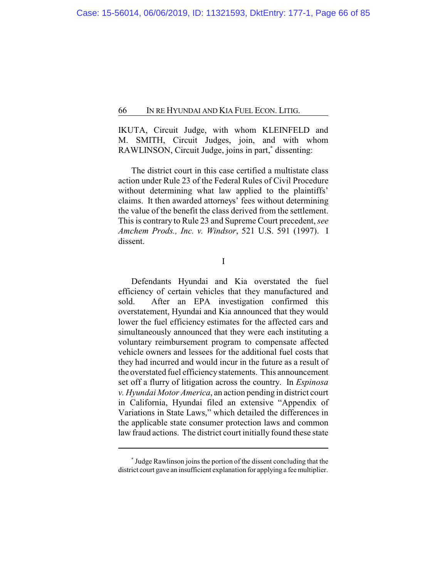IKUTA, Circuit Judge, with whom KLEINFELD and M. SMITH, Circuit Judges, join, and with whom RAWLINSON, Circuit Judge, joins in part,**\*** dissenting:

The district court in this case certified a multistate class action under Rule 23 of the Federal Rules of Civil Procedure without determining what law applied to the plaintiffs' claims. It then awarded attorneys' fees without determining the value of the benefit the class derived from the settlement. This is contrary to Rule 23 and Supreme Court precedent, *see Amchem Prods., Inc. v. Windsor*, 521 U.S. 591 (1997). I dissent.

I

Defendants Hyundai and Kia overstated the fuel efficiency of certain vehicles that they manufactured and sold. After an EPA investigation confirmed this overstatement, Hyundai and Kia announced that they would lower the fuel efficiency estimates for the affected cars and simultaneously announced that they were each instituting a voluntary reimbursement program to compensate affected vehicle owners and lessees for the additional fuel costs that they had incurred and would incur in the future as a result of the overstated fuel efficiencystatements. This announcement set off a flurry of litigation across the country. In *Espinosa v. Hyundai Motor America*, an action pending in district court in California, Hyundai filed an extensive "Appendix of Variations in State Laws," which detailed the differences in the applicable state consumer protection laws and common law fraud actions. The district court initially found these state

**<sup>\*</sup>** Judge Rawlinson joins the portion of the dissent concluding that the district court gave an insufficient explanation for applying a fee multiplier.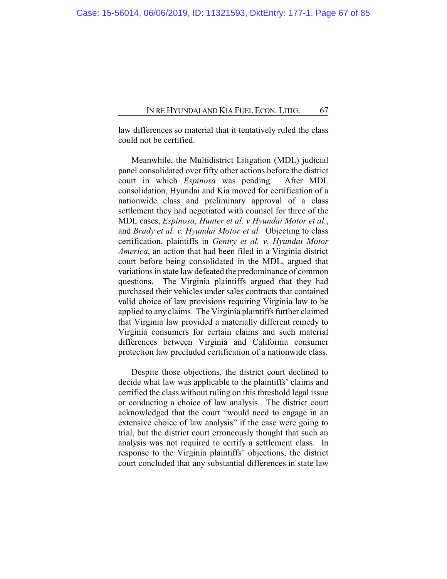law differences so material that it tentatively ruled the class could not be certified.

Meanwhile, the Multidistrict Litigation (MDL) judicial panel consolidated over fifty other actions before the district court in which *Espinosa* was pending. After MDL consolidation, Hyundai and Kia moved for certification of a nationwide class and preliminary approval of a class settlement they had negotiated with counsel for three of the MDL cases, *Espinosa*, *Hunter et al. v Hyundai Motor et al.*, and *Brady et al. v. Hyundai Motor et al.* Objecting to class certification, plaintiffs in *Gentry et al. v. Hyundai Motor America*, an action that had been filed in a Virginia district court before being consolidated in the MDL, argued that variations in state law defeated the predominance of common questions. The Virginia plaintiffs argued that they had purchased their vehicles under sales contracts that contained valid choice of law provisions requiring Virginia law to be applied to any claims. The Virginia plaintiffs further claimed that Virginia law provided a materially different remedy to Virginia consumers for certain claims and such material differences between Virginia and California consumer protection law precluded certification of a nationwide class.

Despite those objections, the district court declined to decide what law was applicable to the plaintiffs' claims and certified the class without ruling on this threshold legal issue or conducting a choice of law analysis. The district court acknowledged that the court "would need to engage in an extensive choice of law analysis" if the case were going to trial, but the district court erroneously thought that such an analysis was not required to certify a settlement class. In response to the Virginia plaintiffs' objections, the district court concluded that any substantial differences in state law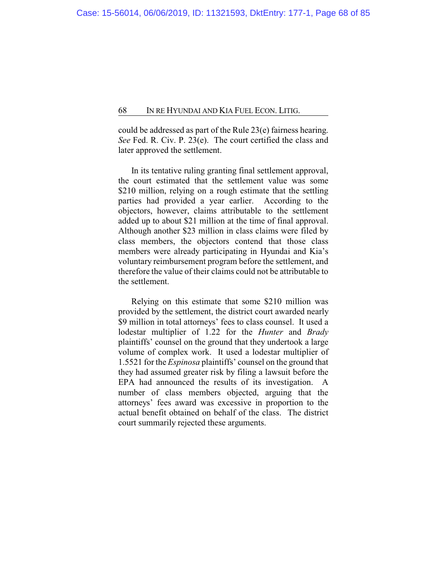could be addressed as part of the Rule 23(e) fairness hearing. *See* Fed. R. Civ. P. 23(e). The court certified the class and later approved the settlement.

In its tentative ruling granting final settlement approval, the court estimated that the settlement value was some \$210 million, relying on a rough estimate that the settling parties had provided a year earlier. According to the objectors, however, claims attributable to the settlement added up to about \$21 million at the time of final approval. Although another \$23 million in class claims were filed by class members, the objectors contend that those class members were already participating in Hyundai and Kia's voluntary reimbursement program before the settlement, and therefore the value of their claims could not be attributable to the settlement.

Relying on this estimate that some \$210 million was provided by the settlement, the district court awarded nearly \$9 million in total attorneys' fees to class counsel. It used a lodestar multiplier of 1.22 for the *Hunter* and *Brady* plaintiffs' counsel on the ground that they undertook a large volume of complex work. It used a lodestar multiplier of 1.5521 for the *Espinosa* plaintiffs' counsel on the ground that they had assumed greater risk by filing a lawsuit before the EPA had announced the results of its investigation. A number of class members objected, arguing that the attorneys' fees award was excessive in proportion to the actual benefit obtained on behalf of the class. The district court summarily rejected these arguments.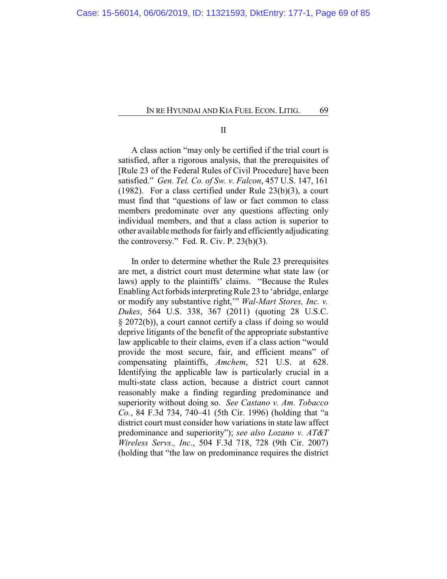II

A class action "may only be certified if the trial court is satisfied, after a rigorous analysis, that the prerequisites of [Rule 23 of the Federal Rules of Civil Procedure] have been satisfied." *Gen. Tel. Co. of Sw. v. Falcon*, 457 U.S. 147, 161 (1982). For a class certified under Rule 23(b)(3), a court must find that "questions of law or fact common to class members predominate over any questions affecting only individual members, and that a class action is superior to other available methods for fairly and efficiently adjudicating the controversy." Fed. R. Civ. P.  $23(b)(3)$ .

In order to determine whether the Rule 23 prerequisites are met, a district court must determine what state law (or laws) apply to the plaintiffs' claims. "Because the Rules Enabling Act forbids interpreting Rule 23 to 'abridge, enlarge or modify any substantive right,'" *Wal-Mart Stores, Inc. v. Dukes*, 564 U.S. 338, 367 (2011) (quoting 28 U.S.C. § 2072(b)), a court cannot certify a class if doing so would deprive litigants of the benefit of the appropriate substantive law applicable to their claims, even if a class action "would provide the most secure, fair, and efficient means" of compensating plaintiffs, *Amchem*, 521 U.S. at 628. Identifying the applicable law is particularly crucial in a multi-state class action, because a district court cannot reasonably make a finding regarding predominance and superiority without doing so. *See Castano v. Am. Tobacco Co.*, 84 F.3d 734, 740–41 (5th Cir. 1996) (holding that "a district court must consider how variations in state law affect predominance and superiority"); *see also Lozano v. AT&T Wireless Servs., Inc*., 504 F.3d 718, 728 (9th Cir. 2007) (holding that "the law on predominance requires the district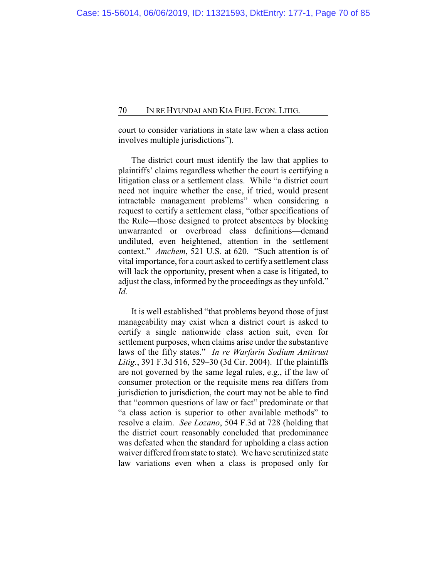court to consider variations in state law when a class action involves multiple jurisdictions").

The district court must identify the law that applies to plaintiffs' claims regardless whether the court is certifying a litigation class or a settlement class. While "a district court need not inquire whether the case, if tried, would present intractable management problems" when considering a request to certify a settlement class, "other specifications of the Rule—those designed to protect absentees by blocking unwarranted or overbroad class definitions—demand undiluted, even heightened, attention in the settlement context." *Amchem*, 521 U.S. at 620. "Such attention is of vital importance, for a court asked to certify a settlement class will lack the opportunity, present when a case is litigated, to adjust the class, informed by the proceedings as they unfold." *Id.*

It is well established "that problems beyond those of just manageability may exist when a district court is asked to certify a single nationwide class action suit, even for settlement purposes, when claims arise under the substantive laws of the fifty states." *In re Warfarin Sodium Antitrust Litig.*, 391 F.3d 516, 529–30 (3d Cir. 2004). If the plaintiffs are not governed by the same legal rules, e.g., if the law of consumer protection or the requisite mens rea differs from jurisdiction to jurisdiction, the court may not be able to find that "common questions of law or fact" predominate or that "a class action is superior to other available methods" to resolve a claim. *See Lozano*, 504 F.3d at 728 (holding that the district court reasonably concluded that predominance was defeated when the standard for upholding a class action waiver differed from state to state). We have scrutinized state law variations even when a class is proposed only for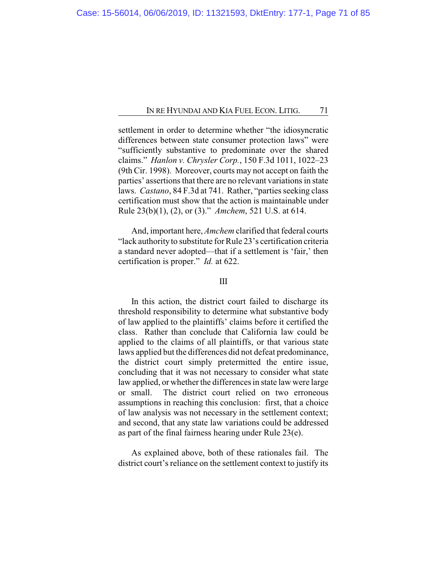settlement in order to determine whether "the idiosyncratic differences between state consumer protection laws" were "sufficiently substantive to predominate over the shared claims." *Hanlon v. Chrysler Corp.*, 150 F.3d 1011, 1022–23 (9th Cir. 1998). Moreover, courts may not accept on faith the parties' assertions that there are no relevant variations in state laws. *Castano*, 84 F.3d at 741. Rather, "parties seeking class certification must show that the action is maintainable under Rule 23(b)(1), (2), or (3)." *Amchem*, 521 U.S. at 614.

And, important here, *Amchem* clarified that federal courts "lack authority to substitute for Rule 23's certification criteria a standard never adopted—that if a settlement is 'fair,' then certification is proper." *Id.* at 622.

## III

In this action, the district court failed to discharge its threshold responsibility to determine what substantive body of law applied to the plaintiffs' claims before it certified the class. Rather than conclude that California law could be applied to the claims of all plaintiffs, or that various state laws applied but the differences did not defeat predominance, the district court simply pretermitted the entire issue, concluding that it was not necessary to consider what state law applied, or whether the differences in state law were large or small. The district court relied on two erroneous assumptions in reaching this conclusion: first, that a choice of law analysis was not necessary in the settlement context; and second, that any state law variations could be addressed as part of the final fairness hearing under Rule 23(e).

As explained above, both of these rationales fail. The district court's reliance on the settlement context to justify its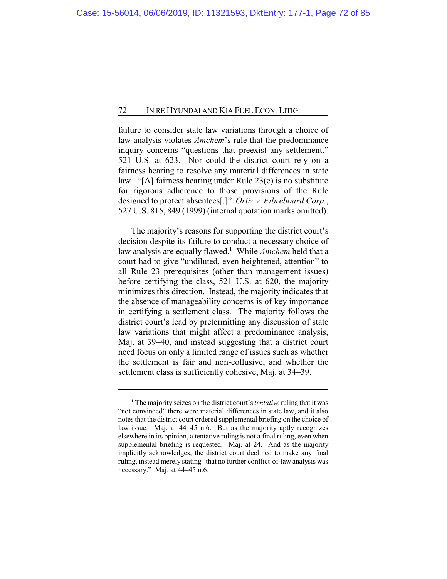failure to consider state law variations through a choice of law analysis violates *Amchem*'s rule that the predominance inquiry concerns "questions that preexist any settlement." 521 U.S. at 623. Nor could the district court rely on a fairness hearing to resolve any material differences in state law. "[A] fairness hearing under Rule 23(e) is no substitute for rigorous adherence to those provisions of the Rule designed to protect absentees[.]" *Ortiz v. Fibreboard Corp.*, 527 U.S. 815, 849 (1999) (internal quotation marks omitted).

The majority's reasons for supporting the district court's decision despite its failure to conduct a necessary choice of law analysis are equally flawed.**<sup>1</sup>** While *Amchem* held that a court had to give "undiluted, even heightened, attention" to all Rule 23 prerequisites (other than management issues) before certifying the class, 521 U.S. at 620, the majority minimizes this direction. Instead, the majority indicates that the absence of manageability concerns is of key importance in certifying a settlement class. The majority follows the district court's lead by pretermitting any discussion of state law variations that might affect a predominance analysis, Maj. at 39–40, and instead suggesting that a district court need focus on only a limited range of issues such as whether the settlement is fair and non-collusive, and whether the settlement class is sufficiently cohesive, Maj. at 34–39.

**<sup>1</sup>** The majority seizes on the district court's*tentative* ruling that it was "not convinced" there were material differences in state law, and it also notes that the district court ordered supplemental briefing on the choice of law issue. Maj. at 44–45 n.6. But as the majority aptly recognizes elsewhere in its opinion, a tentative ruling is not a final ruling, even when supplemental briefing is requested. Maj. at 24. And as the majority implicitly acknowledges, the district court declined to make any final ruling, instead merely stating "that no further conflict-of-law analysis was necessary." Maj. at 44–45 n.6.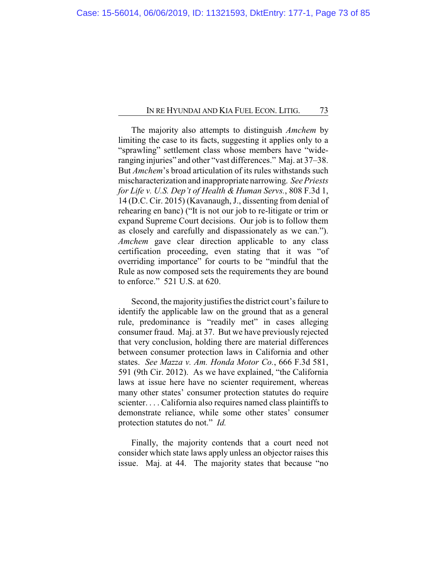The majority also attempts to distinguish *Amchem* by limiting the case to its facts, suggesting it applies only to a "sprawling" settlement class whose members have "wideranging injuries" and other "vast differences." Maj. at 37–38. But *Amchem*'s broad articulation of its rules withstands such mischaracterization and inappropriate narrowing. *See Priests for Life v. U.S. Dep't of Health & Human Servs.*, 808 F.3d 1, 14 (D.C. Cir. 2015) (Kavanaugh, J., dissenting from denial of rehearing en banc) ("It is not our job to re-litigate or trim or expand Supreme Court decisions. Our job is to follow them as closely and carefully and dispassionately as we can."). *Amchem* gave clear direction applicable to any class certification proceeding, even stating that it was "of overriding importance" for courts to be "mindful that the Rule as now composed sets the requirements they are bound to enforce." 521 U.S. at 620.

Second, the majority justifies the district court's failure to identify the applicable law on the ground that as a general rule, predominance is "readily met" in cases alleging consumer fraud. Maj. at 37. But we have previously rejected that very conclusion, holding there are material differences between consumer protection laws in California and other states. *See Mazza v. Am. Honda Motor Co.*, 666 F.3d 581, 591 (9th Cir. 2012). As we have explained, "the California laws at issue here have no scienter requirement, whereas many other states' consumer protection statutes do require scienter. . . . California also requires named class plaintiffs to demonstrate reliance, while some other states' consumer protection statutes do not." *Id.*

Finally, the majority contends that a court need not consider which state laws apply unless an objector raises this issue. Maj. at 44. The majority states that because "no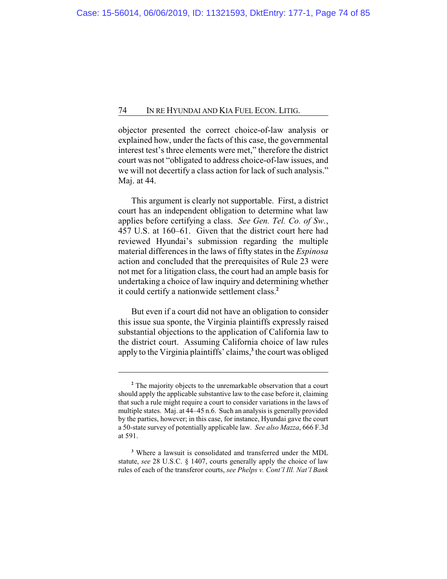objector presented the correct choice-of-law analysis or explained how, under the facts of this case, the governmental interest test's three elements were met," therefore the district court was not "obligated to address choice-of-law issues, and we will not decertify a class action for lack of such analysis." Maj. at 44.

This argument is clearly not supportable. First, a district court has an independent obligation to determine what law applies before certifying a class. *See Gen. Tel. Co. of Sw.*, 457 U.S. at 160–61. Given that the district court here had reviewed Hyundai's submission regarding the multiple material differences in the laws of fifty states in the *Espinosa* action and concluded that the prerequisites of Rule 23 were not met for a litigation class, the court had an ample basis for undertaking a choice of law inquiry and determining whether it could certify a nationwide settlement class.**<sup>2</sup>**

But even if a court did not have an obligation to consider this issue sua sponte, the Virginia plaintiffs expressly raised substantial objections to the application of California law to the district court. Assuming California choice of law rules apply to the Virginia plaintiffs' claims,**<sup>3</sup>** the court was obliged

**<sup>2</sup>** The majority objects to the unremarkable observation that a court should apply the applicable substantive law to the case before it, claiming that such a rule might require a court to consider variations in the laws of multiple states. Maj. at 44–45 n.6. Such an analysis is generally provided by the parties, however; in this case, for instance, Hyundai gave the court a 50-state survey of potentially applicable law. *See also Mazza*, 666 F.3d at 591.

**<sup>3</sup>** Where a lawsuit is consolidated and transferred under the MDL statute, *see* 28 U.S.C. § 1407, courts generally apply the choice of law rules of each of the transferor courts, *see Phelps v. Cont'l Ill. Nat'l Bank*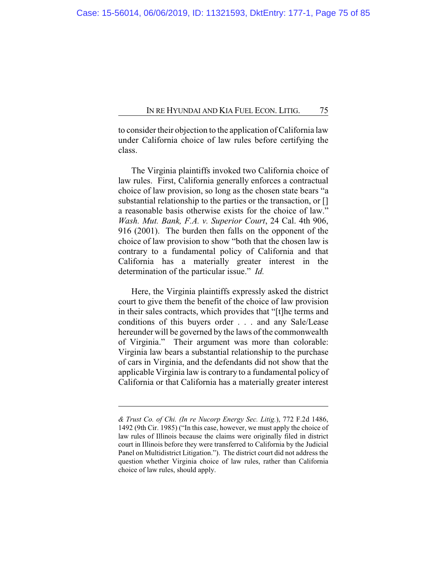to consider their objection to the application of California law under California choice of law rules before certifying the class.

The Virginia plaintiffs invoked two California choice of law rules. First, California generally enforces a contractual choice of law provision, so long as the chosen state bears "a substantial relationship to the parties or the transaction, or [] a reasonable basis otherwise exists for the choice of law." *Wash. Mut. Bank, F.A. v. Superior Court*, 24 Cal. 4th 906, 916 (2001). The burden then falls on the opponent of the choice of law provision to show "both that the chosen law is contrary to a fundamental policy of California and that California has a materially greater interest in the determination of the particular issue." *Id.*

Here, the Virginia plaintiffs expressly asked the district court to give them the benefit of the choice of law provision in their sales contracts, which provides that "[t]he terms and conditions of this buyers order . . . and any Sale/Lease hereunder will be governed by the laws of the commonwealth of Virginia." Their argument was more than colorable: Virginia law bears a substantial relationship to the purchase of cars in Virginia, and the defendants did not show that the applicable Virginia law is contrary to a fundamental policy of California or that California has a materially greater interest

*<sup>&</sup>amp; Trust Co. of Chi. (In re Nucorp Energy Sec. Litig.*), 772 F.2d 1486, 1492 (9th Cir. 1985) ("In this case, however, we must apply the choice of law rules of Illinois because the claims were originally filed in district court in Illinois before they were transferred to California by the Judicial Panel on Multidistrict Litigation."). The district court did not address the question whether Virginia choice of law rules, rather than California choice of law rules, should apply.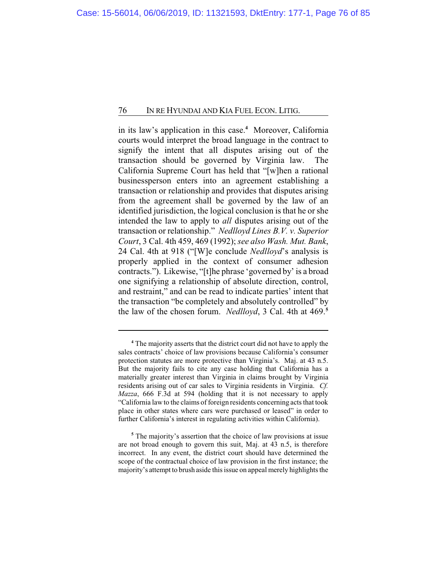in its law's application in this case.**<sup>4</sup>** Moreover, California courts would interpret the broad language in the contract to signify the intent that all disputes arising out of the transaction should be governed by Virginia law. The California Supreme Court has held that "[w]hen a rational businessperson enters into an agreement establishing a transaction or relationship and provides that disputes arising from the agreement shall be governed by the law of an identified jurisdiction, the logical conclusion is that he or she intended the law to apply to *all* disputes arising out of the transaction or relationship." *Nedlloyd Lines B.V. v. Superior Court*, 3 Cal. 4th 459, 469 (1992); *see also Wash. Mut. Bank*, 24 Cal. 4th at 918 ("[W]e conclude *Nedlloyd*'s analysis is properly applied in the context of consumer adhesion contracts."). Likewise, "[t]he phrase 'governed by' is a broad one signifying a relationship of absolute direction, control, and restraint," and can be read to indicate parties' intent that the transaction "be completely and absolutely controlled" by the law of the chosen forum. *Nedlloyd*, 3 Cal. 4th at 469. **5**

**<sup>4</sup>** The majority asserts that the district court did not have to apply the sales contracts' choice of law provisions because California's consumer protection statutes are more protective than Virginia's. Maj. at 43 n.5. But the majority fails to cite any case holding that California has a materially greater interest than Virginia in claims brought by Virginia residents arising out of car sales to Virginia residents in Virginia. *Cf. Mazza*, 666 F.3d at 594 (holding that it is not necessary to apply "California law to the claims of foreign residents concerning acts that took place in other states where cars were purchased or leased" in order to further California's interest in regulating activities within California).

**<sup>5</sup>** The majority's assertion that the choice of law provisions at issue are not broad enough to govern this suit, Maj. at 43 n.5, is therefore incorrect. In any event, the district court should have determined the scope of the contractual choice of law provision in the first instance; the majority's attempt to brush aside this issue on appeal merely highlights the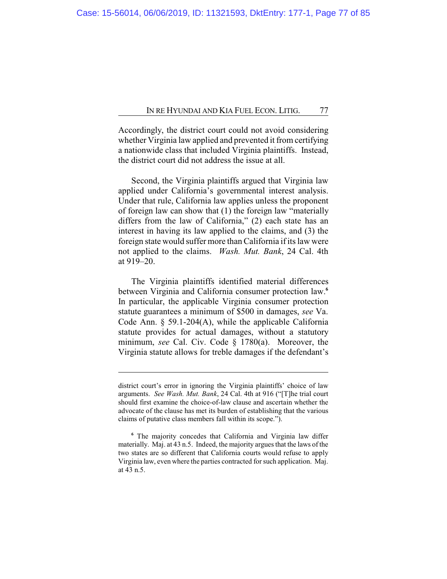Accordingly, the district court could not avoid considering whether Virginia law applied and prevented it from certifying a nationwide class that included Virginia plaintiffs. Instead, the district court did not address the issue at all.

Second, the Virginia plaintiffs argued that Virginia law applied under California's governmental interest analysis. Under that rule, California law applies unless the proponent of foreign law can show that (1) the foreign law "materially differs from the law of California," (2) each state has an interest in having its law applied to the claims, and (3) the foreign state would suffer more than California if its law were not applied to the claims. *Wash. Mut. Bank*, 24 Cal. 4th at 919–20.

The Virginia plaintiffs identified material differences between Virginia and California consumer protection law.**<sup>6</sup>** In particular, the applicable Virginia consumer protection statute guarantees a minimum of \$500 in damages, *see* Va. Code Ann. § 59.1-204(A), while the applicable California statute provides for actual damages, without a statutory minimum, *see* Cal. Civ. Code § 1780(a). Moreover, the Virginia statute allows for treble damages if the defendant's

district court's error in ignoring the Virginia plaintiffs' choice of law arguments. *See Wash. Mut. Bank*, 24 Cal. 4th at 916 ("[T]he trial court should first examine the choice-of-law clause and ascertain whether the advocate of the clause has met its burden of establishing that the various claims of putative class members fall within its scope.").

**<sup>6</sup>** The majority concedes that California and Virginia law differ materially. Maj. at 43 n.5. Indeed, the majority argues that the laws of the two states are so different that California courts would refuse to apply Virginia law, even where the parties contracted for such application. Maj. at 43 n.5.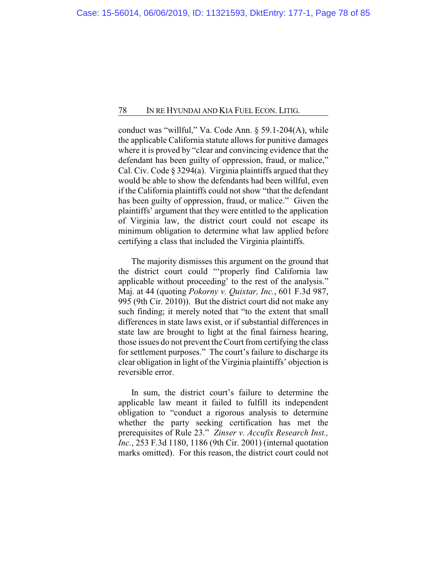conduct was "willful," Va. Code Ann. § 59.1-204(A), while the applicable California statute allows for punitive damages where it is proved by "clear and convincing evidence that the defendant has been guilty of oppression, fraud, or malice," Cal. Civ. Code § 3294(a). Virginia plaintiffs argued that they would be able to show the defendants had been willful, even if the California plaintiffs could not show "that the defendant has been guilty of oppression, fraud, or malice." Given the plaintiffs' argument that they were entitled to the application of Virginia law, the district court could not escape its minimum obligation to determine what law applied before certifying a class that included the Virginia plaintiffs.

The majority dismisses this argument on the ground that the district court could "'properly find California law applicable without proceeding' to the rest of the analysis." Maj. at 44 (quoting *Pokorny v. Quixtar, Inc.*, 601 F.3d 987, 995 (9th Cir. 2010)). But the district court did not make any such finding; it merely noted that "to the extent that small differences in state laws exist, or if substantial differences in state law are brought to light at the final fairness hearing, those issues do not prevent the Court from certifying the class for settlement purposes." The court's failure to discharge its clear obligation in light of the Virginia plaintiffs' objection is reversible error.

In sum, the district court's failure to determine the applicable law meant it failed to fulfill its independent obligation to "conduct a rigorous analysis to determine whether the party seeking certification has met the prerequisites of Rule 23." *Zinser v. Accufix Research Inst., Inc.*, 253 F.3d 1180, 1186 (9th Cir. 2001) (internal quotation marks omitted). For this reason, the district court could not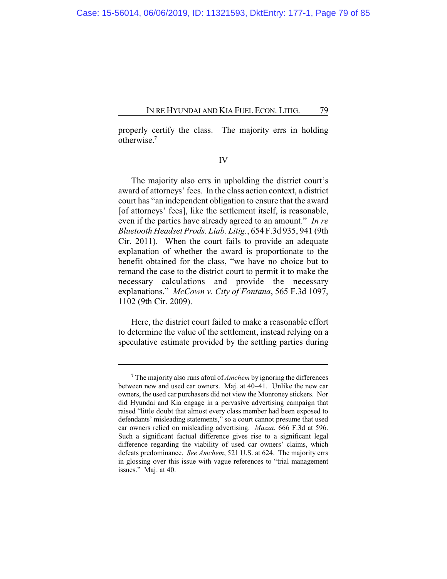properly certify the class. The majority errs in holding otherwise.**<sup>7</sup>**

IV

The majority also errs in upholding the district court's award of attorneys' fees. In the class action context, a district court has "an independent obligation to ensure that the award [of attorneys' fees], like the settlement itself, is reasonable, even if the parties have already agreed to an amount." *In re Bluetooth Headset Prods. Liab. Litig.*, 654 F.3d 935, 941 (9th Cir. 2011). When the court fails to provide an adequate explanation of whether the award is proportionate to the benefit obtained for the class, "we have no choice but to remand the case to the district court to permit it to make the necessary calculations and provide the necessary explanations." *McCown v. City of Fontana*, 565 F.3d 1097, 1102 (9th Cir. 2009).

Here, the district court failed to make a reasonable effort to determine the value of the settlement, instead relying on a speculative estimate provided by the settling parties during

**<sup>7</sup>** The majority also runs afoul of *Amchem* by ignoring the differences between new and used car owners. Maj. at 40–41. Unlike the new car owners, the used car purchasers did not view the Monroney stickers. Nor did Hyundai and Kia engage in a pervasive advertising campaign that raised "little doubt that almost every class member had been exposed to defendants' misleading statements," so a court cannot presume that used car owners relied on misleading advertising. *Mazza*, 666 F.3d at 596. Such a significant factual difference gives rise to a significant legal difference regarding the viability of used car owners' claims, which defeats predominance. *See Amchem*, 521 U.S. at 624. The majority errs in glossing over this issue with vague references to "trial management issues." Maj. at 40.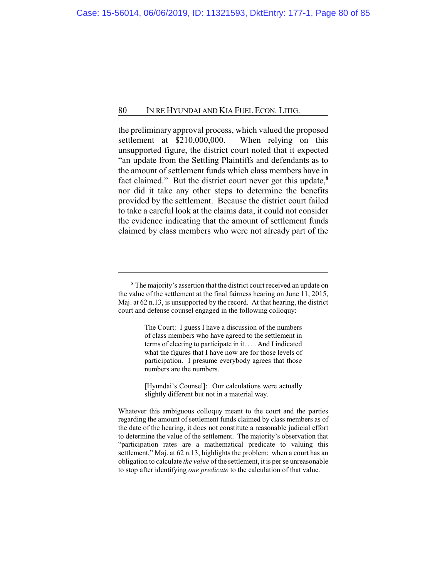the preliminary approval process, which valued the proposed settlement at \$210,000,000. When relying on this unsupported figure, the district court noted that it expected "an update from the Settling Plaintiffs and defendants as to the amount of settlement funds which class members have in fact claimed." But the district court never got this update,**<sup>8</sup>** nor did it take any other steps to determine the benefits provided by the settlement. Because the district court failed to take a careful look at the claims data, it could not consider the evidence indicating that the amount of settlement funds claimed by class members who were not already part of the

The Court: I guess I have a discussion of the numbers of class members who have agreed to the settlement in terms of electing to participate in it. . . . And I indicated what the figures that I have now are for those levels of participation. I presume everybody agrees that those numbers are the numbers.

[Hyundai's Counsel]: Our calculations were actually slightly different but not in a material way.

**<sup>8</sup>** The majority's assertion that the district court received an update on the value of the settlement at the final fairness hearing on June 11, 2015, Maj. at 62 n.13, is unsupported by the record. At that hearing, the district court and defense counsel engaged in the following colloquy:

Whatever this ambiguous colloquy meant to the court and the parties regarding the amount of settlement funds claimed by class members as of the date of the hearing, it does not constitute a reasonable judicial effort to determine the value of the settlement. The majority's observation that "participation rates are a mathematical predicate to valuing this settlement," Maj. at 62 n.13, highlights the problem: when a court has an obligation to calculate *the value* of the settlement, it is per se unreasonable to stop after identifying *one predicate* to the calculation of that value.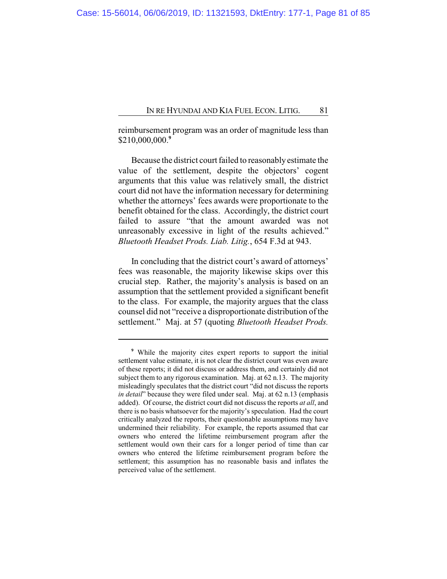reimbursement program was an order of magnitude less than \$210,000,000.**<sup>9</sup>**

Because the district court failed to reasonablyestimate the value of the settlement, despite the objectors' cogent arguments that this value was relatively small, the district court did not have the information necessary for determining whether the attorneys' fees awards were proportionate to the benefit obtained for the class. Accordingly, the district court failed to assure "that the amount awarded was not unreasonably excessive in light of the results achieved." *Bluetooth Headset Prods. Liab. Litig.*, 654 F.3d at 943.

In concluding that the district court's award of attorneys' fees was reasonable, the majority likewise skips over this crucial step. Rather, the majority's analysis is based on an assumption that the settlement provided a significant benefit to the class. For example, the majority argues that the class counsel did not "receive a disproportionate distribution of the settlement." Maj. at 57 (quoting *Bluetooth Headset Prods.*

**<sup>9</sup>** While the majority cites expert reports to support the initial settlement value estimate, it is not clear the district court was even aware of these reports; it did not discuss or address them, and certainly did not subject them to any rigorous examination. Maj. at 62 n.13. The majority misleadingly speculates that the district court "did not discuss the reports *in detail*" because they were filed under seal. Maj. at 62 n.13 (emphasis added). Of course, the district court did not discuss the reports *at all*, and there is no basis whatsoever for the majority's speculation. Had the court critically analyzed the reports, their questionable assumptions may have undermined their reliability. For example, the reports assumed that car owners who entered the lifetime reimbursement program after the settlement would own their cars for a longer period of time than car owners who entered the lifetime reimbursement program before the settlement; this assumption has no reasonable basis and inflates the perceived value of the settlement.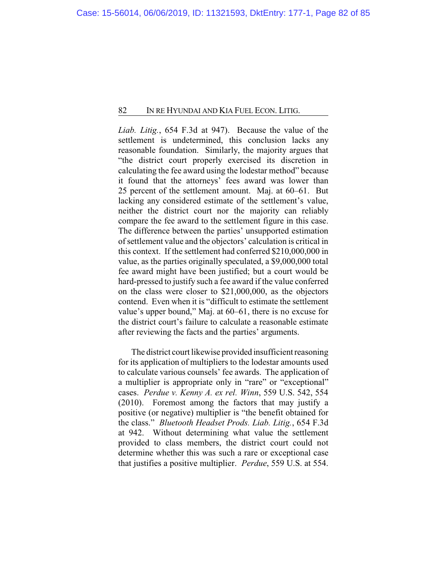*Liab. Litig.*, 654 F.3d at 947). Because the value of the settlement is undetermined, this conclusion lacks any reasonable foundation. Similarly, the majority argues that "the district court properly exercised its discretion in calculating the fee award using the lodestar method" because it found that the attorneys' fees award was lower than 25 percent of the settlement amount. Maj. at 60–61. But lacking any considered estimate of the settlement's value, neither the district court nor the majority can reliably compare the fee award to the settlement figure in this case. The difference between the parties' unsupported estimation of settlement value and the objectors' calculation is critical in this context. If the settlement had conferred \$210,000,000 in value, as the parties originally speculated, a \$9,000,000 total fee award might have been justified; but a court would be hard-pressed to justify such a fee award if the value conferred on the class were closer to \$21,000,000, as the objectors contend. Even when it is "difficult to estimate the settlement value's upper bound," Maj. at 60–61, there is no excuse for the district court's failure to calculate a reasonable estimate after reviewing the facts and the parties' arguments.

The district court likewise provided insufficient reasoning for its application of multipliers to the lodestar amounts used to calculate various counsels' fee awards. The application of a multiplier is appropriate only in "rare" or "exceptional" cases. *Perdue v. Kenny A. ex rel. Winn*, 559 U.S. 542, 554 (2010). Foremost among the factors that may justify a positive (or negative) multiplier is "the benefit obtained for the class." *Bluetooth Headset Prods. Liab. Litig.*, 654 F.3d at 942. Without determining what value the settlement provided to class members, the district court could not determine whether this was such a rare or exceptional case that justifies a positive multiplier. *Perdue*, 559 U.S. at 554.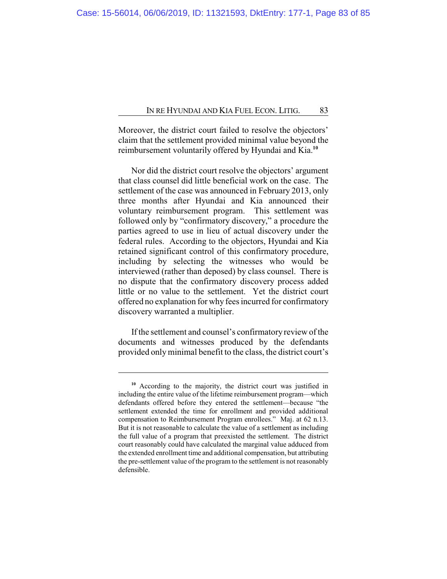Moreover, the district court failed to resolve the objectors' claim that the settlement provided minimal value beyond the reimbursement voluntarily offered by Hyundai and Kia.**<sup>10</sup>**

Nor did the district court resolve the objectors' argument that class counsel did little beneficial work on the case. The settlement of the case was announced in February 2013, only three months after Hyundai and Kia announced their voluntary reimbursement program. This settlement was followed only by "confirmatory discovery," a procedure the parties agreed to use in lieu of actual discovery under the federal rules. According to the objectors, Hyundai and Kia retained significant control of this confirmatory procedure, including by selecting the witnesses who would be interviewed (rather than deposed) by class counsel. There is no dispute that the confirmatory discovery process added little or no value to the settlement. Yet the district court offered no explanation for why fees incurred for confirmatory discovery warranted a multiplier.

If the settlement and counsel's confirmatory review of the documents and witnesses produced by the defendants provided only minimal benefit to the class, the district court's

**<sup>10</sup>** According to the majority, the district court was justified in including the entire value of the lifetime reimbursement program—which defendants offered before they entered the settlement—because "the settlement extended the time for enrollment and provided additional compensation to Reimbursement Program enrollees." Maj. at 62 n.13. But it is not reasonable to calculate the value of a settlement as including the full value of a program that preexisted the settlement. The district court reasonably could have calculated the marginal value adduced from the extended enrollment time and additional compensation, but attributing the pre-settlement value of the program to the settlement is not reasonably defensible.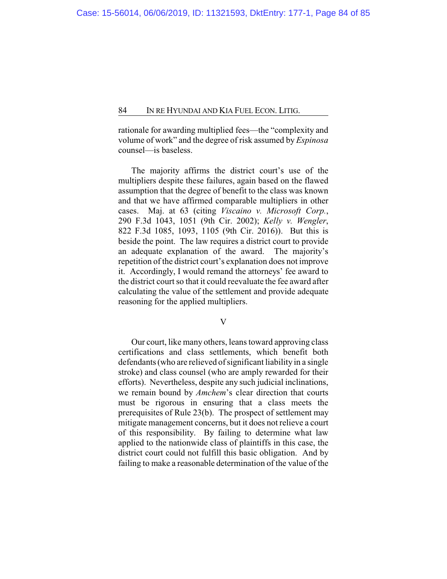rationale for awarding multiplied fees—the "complexity and volume of work" and the degree of risk assumed by *Espinosa* counsel—is baseless.

The majority affirms the district court's use of the multipliers despite these failures, again based on the flawed assumption that the degree of benefit to the class was known and that we have affirmed comparable multipliers in other cases. Maj. at 63 (citing *Viscaino v. Microsoft Corp.*, 290 F.3d 1043, 1051 (9th Cir. 2002); *Kelly v. Wengler*, 822 F.3d 1085, 1093, 1105 (9th Cir. 2016)). But this is beside the point. The law requires a district court to provide an adequate explanation of the award. The majority's repetition of the district court's explanation does not improve it. Accordingly, I would remand the attorneys' fee award to the district court so that it could reevaluate the fee award after calculating the value of the settlement and provide adequate reasoning for the applied multipliers.

V

Our court, like many others, leans toward approving class certifications and class settlements, which benefit both defendants (who are relieved of significant liability in a single stroke) and class counsel (who are amply rewarded for their efforts). Nevertheless, despite any such judicial inclinations, we remain bound by *Amchem*'s clear direction that courts must be rigorous in ensuring that a class meets the prerequisites of Rule 23(b). The prospect of settlement may mitigate management concerns, but it does not relieve a court of this responsibility. By failing to determine what law applied to the nationwide class of plaintiffs in this case, the district court could not fulfill this basic obligation. And by failing to make a reasonable determination of the value of the